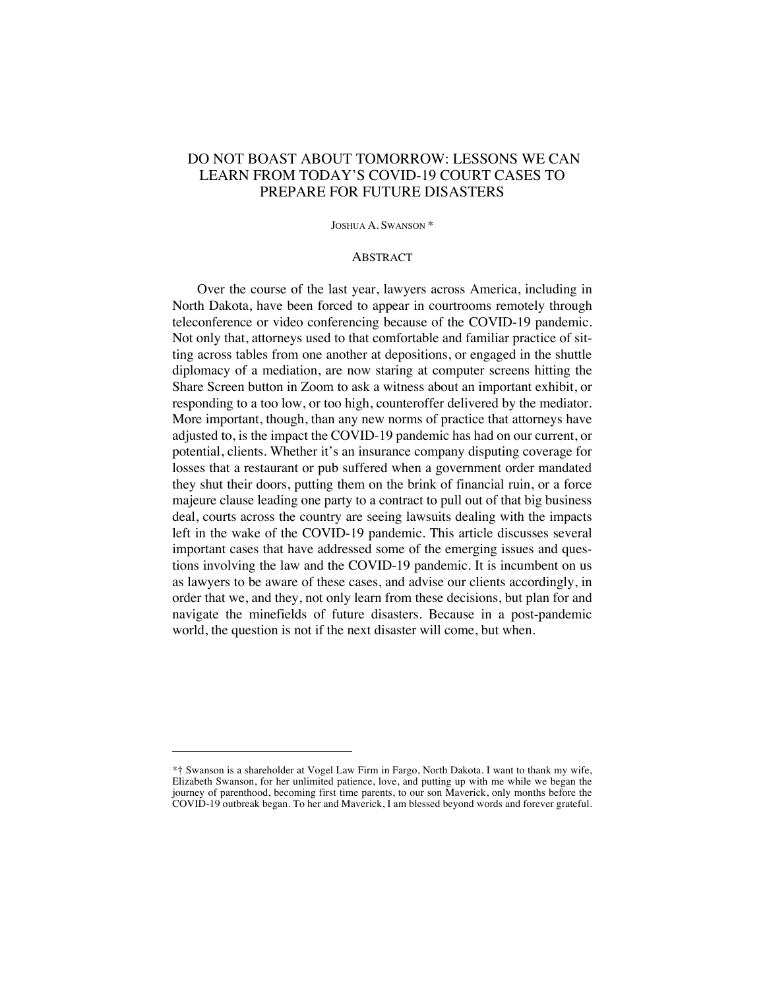# DO NOT BOAST ABOUT TOMORROW: LESSONS WE CAN LEARN FROM TODAY'S COVID-19 COURT CASES TO PREPARE FOR FUTURE DISASTERS

JOSHUA A. SWANSON \*

#### **ABSTRACT**

Over the course of the last year, lawyers across America, including in North Dakota, have been forced to appear in courtrooms remotely through teleconference or video conferencing because of the COVID-19 pandemic. Not only that, attorneys used to that comfortable and familiar practice of sitting across tables from one another at depositions, or engaged in the shuttle diplomacy of a mediation, are now staring at computer screens hitting the Share Screen button in Zoom to ask a witness about an important exhibit, or responding to a too low, or too high, counteroffer delivered by the mediator. More important, though, than any new norms of practice that attorneys have adjusted to, is the impact the COVID-19 pandemic has had on our current, or potential, clients. Whether it's an insurance company disputing coverage for losses that a restaurant or pub suffered when a government order mandated they shut their doors, putting them on the brink of financial ruin, or a force majeure clause leading one party to a contract to pull out of that big business deal, courts across the country are seeing lawsuits dealing with the impacts left in the wake of the COVID-19 pandemic. This article discusses several important cases that have addressed some of the emerging issues and questions involving the law and the COVID-19 pandemic. It is incumbent on us as lawyers to be aware of these cases, and advise our clients accordingly, in order that we, and they, not only learn from these decisions, but plan for and navigate the minefields of future disasters. Because in a post-pandemic world, the question is not if the next disaster will come, but when.

<sup>\*†</sup> Swanson is a shareholder at Vogel Law Firm in Fargo, North Dakota. I want to thank my wife, Elizabeth Swanson, for her unlimited patience, love, and putting up with me while we began the journey of parenthood, becoming first time parents, to our son Maverick, only months before the COVID-19 outbreak began. To her and Maverick, I am blessed beyond words and forever grateful.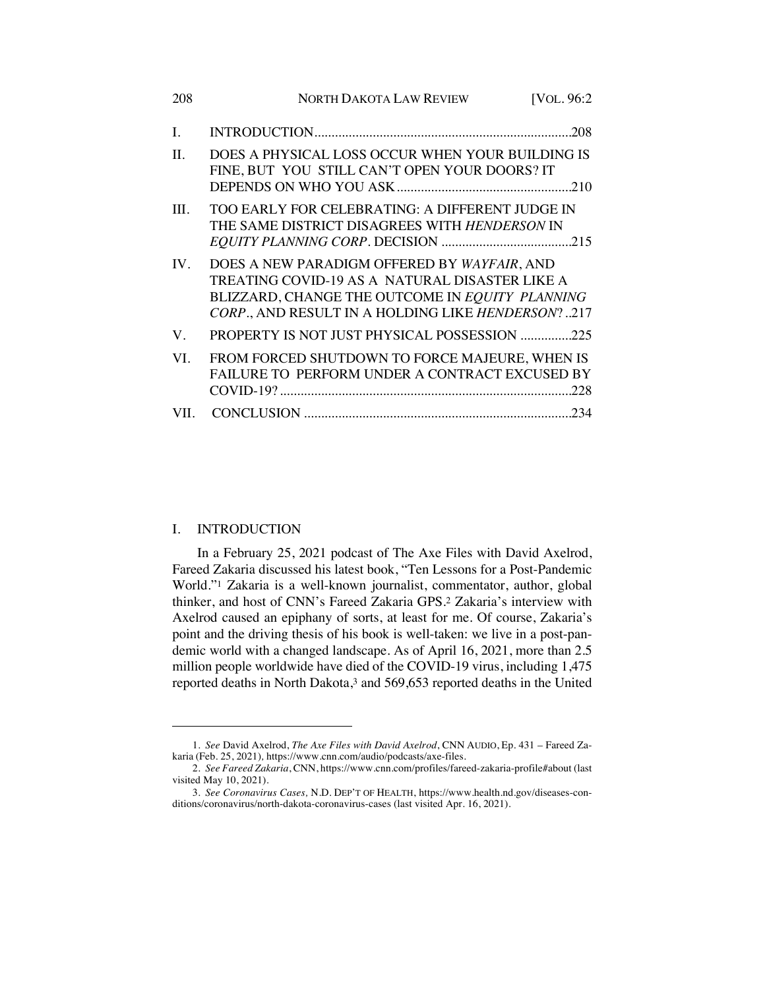| 208     | <b>NORTH DAKOTA LAW REVIEW</b><br>[VOL. 96:2]                                                                                                                                                         |
|---------|-------------------------------------------------------------------------------------------------------------------------------------------------------------------------------------------------------|
| L.      | .208                                                                                                                                                                                                  |
| $\Pi$ . | DOES A PHYSICAL LOSS OCCUR WHEN YOUR BUILDING IS<br>FINE, BUT YOU STILL CAN'T OPEN YOUR DOORS? IT                                                                                                     |
| III.    | TOO EARLY FOR CELEBRATING: A DIFFERENT JUDGE IN<br>THE SAME DISTRICT DISAGREES WITH HENDERSON IN                                                                                                      |
| IV.     | DOES A NEW PARADIGM OFFERED BY WAYFAIR, AND<br>TREATING COVID-19 AS A NATURAL DISASTER LIKE A<br>BLIZZARD, CHANGE THE OUTCOME IN EQUITY PLANNING<br>CORP., AND RESULT IN A HOLDING LIKE HENDERSON?217 |
| V.      | PROPERTY IS NOT JUST PHYSICAL POSSESSION 225                                                                                                                                                          |
| VI.     | FROM FORCED SHUTDOWN TO FORCE MAJEURE, WHEN IS<br>FAILURE TO PERFORM UNDER A CONTRACT EXCUSED BY                                                                                                      |
| VII.    |                                                                                                                                                                                                       |

#### I. INTRODUCTION

In a February 25, 2021 podcast of The Axe Files with David Axelrod, Fareed Zakaria discussed his latest book, "Ten Lessons for a Post-Pandemic World."1 Zakaria is a well-known journalist, commentator, author, global thinker, and host of CNN's Fareed Zakaria GPS.2 Zakaria's interview with Axelrod caused an epiphany of sorts, at least for me. Of course, Zakaria's point and the driving thesis of his book is well-taken: we live in a post-pandemic world with a changed landscape. As of April 16, 2021, more than 2.5 million people worldwide have died of the COVID-19 virus, including 1,475 reported deaths in North Dakota,<sup>3</sup> and 569,653 reported deaths in the United

<sup>1</sup>*. See* David Axelrod, *The Axe Files with David Axelrod*, CNN AUDIO, Ep. 431 – Fareed Zakaria (Feb. 25, 2021)*,* https://www.cnn.com/audio/podcasts/axe-files.

<sup>2</sup>*. See Fareed Zakaria*, CNN, https://www.cnn.com/profiles/fareed-zakaria-profile#about (last visited May 10, 2021).

<sup>3</sup>*. See Coronavirus Cases,* N.D. DEP'T OF HEALTH, https://www.health.nd.gov/diseases-conditions/coronavirus/north-dakota-coronavirus-cases (last visited Apr. 16, 2021).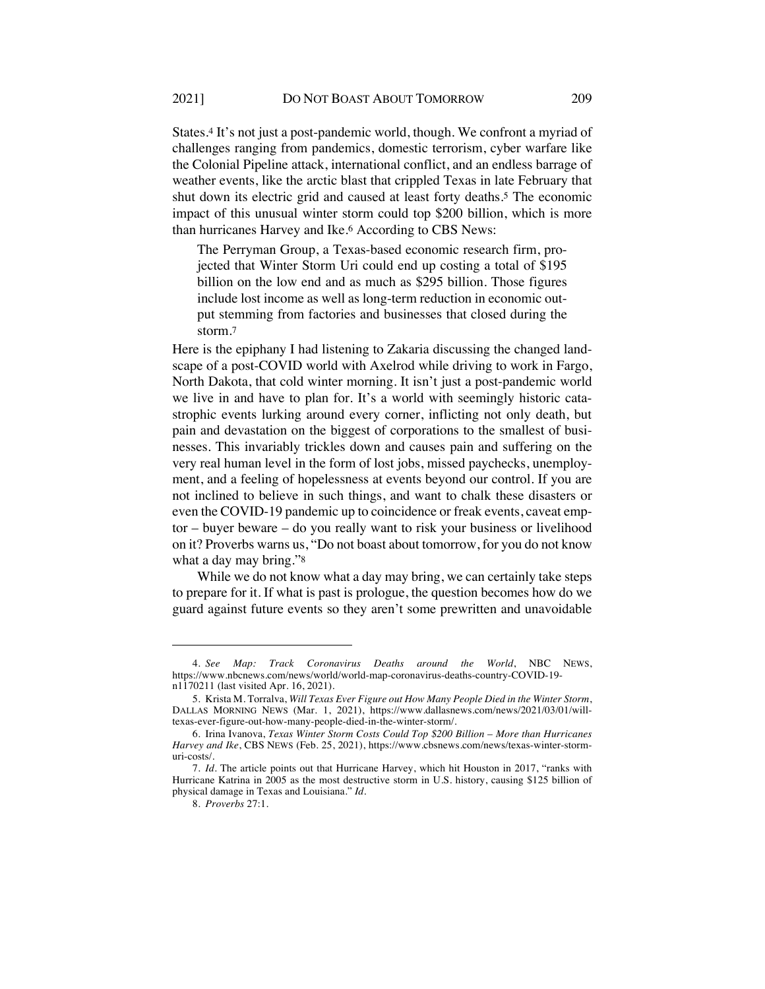States.4 It's not just a post-pandemic world, though. We confront a myriad of challenges ranging from pandemics, domestic terrorism, cyber warfare like the Colonial Pipeline attack, international conflict, and an endless barrage of weather events, like the arctic blast that crippled Texas in late February that shut down its electric grid and caused at least forty deaths.5 The economic impact of this unusual winter storm could top \$200 billion, which is more than hurricanes Harvey and Ike.6 According to CBS News:

The Perryman Group, a Texas-based economic research firm, projected that Winter Storm Uri could end up costing a total of \$195 billion on the low end and as much as \$295 billion. Those figures include lost income as well as long-term reduction in economic output stemming from factories and businesses that closed during the storm.7

Here is the epiphany I had listening to Zakaria discussing the changed landscape of a post-COVID world with Axelrod while driving to work in Fargo, North Dakota, that cold winter morning. It isn't just a post-pandemic world we live in and have to plan for. It's a world with seemingly historic catastrophic events lurking around every corner, inflicting not only death, but pain and devastation on the biggest of corporations to the smallest of businesses. This invariably trickles down and causes pain and suffering on the very real human level in the form of lost jobs, missed paychecks, unemployment, and a feeling of hopelessness at events beyond our control. If you are not inclined to believe in such things, and want to chalk these disasters or even the COVID-19 pandemic up to coincidence or freak events, caveat emptor – buyer beware – do you really want to risk your business or livelihood on it? Proverbs warns us, "Do not boast about tomorrow, for you do not know what a day may bring."<sup>8</sup>

While we do not know what a day may bring, we can certainly take steps to prepare for it. If what is past is prologue, the question becomes how do we guard against future events so they aren't some prewritten and unavoidable

<sup>4</sup>*. See Map: Track Coronavirus Deaths around the World*, NBC NEWS, https://www.nbcnews.com/news/world/world-map-coronavirus-deaths-country-COVID-19 n1170211 (last visited Apr. 16, 2021).

<sup>5.</sup> Krista M. Torralva, *Will Texas Ever Figure out How Many People Died in the Winter Storm*, DALLAS MORNING NEWS (Mar. 1, 2021), https://www.dallasnews.com/news/2021/03/01/willtexas-ever-figure-out-how-many-people-died-in-the-winter-storm/.

<sup>6.</sup> Irina Ivanova, *Texas Winter Storm Costs Could Top \$200 Billion – More than Hurricanes Harvey and Ike*, CBS NEWS (Feb. 25, 2021), https://www.cbsnews.com/news/texas-winter-stormuri-costs/.

<sup>7</sup>*. Id.* The article points out that Hurricane Harvey, which hit Houston in 2017, "ranks with Hurricane Katrina in 2005 as the most destructive storm in U.S. history, causing \$125 billion of physical damage in Texas and Louisiana." *Id.*

<sup>8</sup>*. Proverbs* 27:1.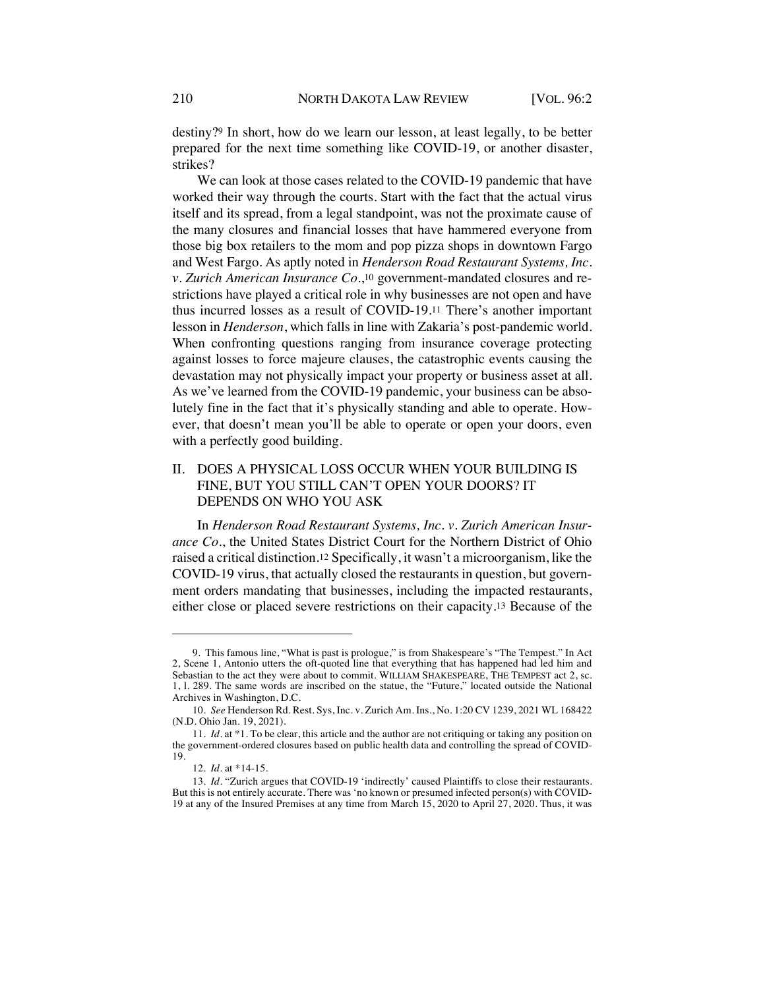destiny?9 In short, how do we learn our lesson, at least legally, to be better prepared for the next time something like COVID-19, or another disaster, strikes?

We can look at those cases related to the COVID-19 pandemic that have worked their way through the courts. Start with the fact that the actual virus itself and its spread, from a legal standpoint, was not the proximate cause of the many closures and financial losses that have hammered everyone from those big box retailers to the mom and pop pizza shops in downtown Fargo and West Fargo. As aptly noted in *Henderson Road Restaurant Systems, Inc. v. Zurich American Insurance Co.*,10 government-mandated closures and restrictions have played a critical role in why businesses are not open and have thus incurred losses as a result of COVID-19.11 There's another important lesson in *Henderson*, which falls in line with Zakaria's post-pandemic world. When confronting questions ranging from insurance coverage protecting against losses to force majeure clauses, the catastrophic events causing the devastation may not physically impact your property or business asset at all. As we've learned from the COVID-19 pandemic, your business can be absolutely fine in the fact that it's physically standing and able to operate. However, that doesn't mean you'll be able to operate or open your doors, even with a perfectly good building.

## II. DOES A PHYSICAL LOSS OCCUR WHEN YOUR BUILDING IS FINE, BUT YOU STILL CAN'T OPEN YOUR DOORS? IT DEPENDS ON WHO YOU ASK

In *Henderson Road Restaurant Systems, Inc. v. Zurich American Insurance Co.*, the United States District Court for the Northern District of Ohio raised a critical distinction.12 Specifically, it wasn't a microorganism, like the COVID-19 virus, that actually closed the restaurants in question, but government orders mandating that businesses, including the impacted restaurants, either close or placed severe restrictions on their capacity.13 Because of the

<sup>9.</sup> This famous line, "What is past is prologue," is from Shakespeare's "The Tempest." In Act 2, Scene 1, Antonio utters the oft-quoted line that everything that has happened had led him and Sebastian to the act they were about to commit. WILLIAM SHAKESPEARE, THE TEMPEST act 2, sc. 1, l. 289. The same words are inscribed on the statue, the "Future," located outside the National Archives in Washington, D.C.

<sup>10</sup>*. See* Henderson Rd. Rest. Sys, Inc. v. Zurich Am. Ins., No. 1:20 CV 1239, 2021 WL 168422 (N.D. Ohio Jan. 19, 2021).

<sup>11</sup>*. Id.* at \*1. To be clear, this article and the author are not critiquing or taking any position on the government-ordered closures based on public health data and controlling the spread of COVID-19.

<sup>12</sup>*. Id.* at \*14-15.

<sup>13</sup>*. Id.* "Zurich argues that COVID-19 'indirectly' caused Plaintiffs to close their restaurants. But this is not entirely accurate. There was 'no known or presumed infected person(s) with COVID-19 at any of the Insured Premises at any time from March 15, 2020 to April 27, 2020. Thus, it was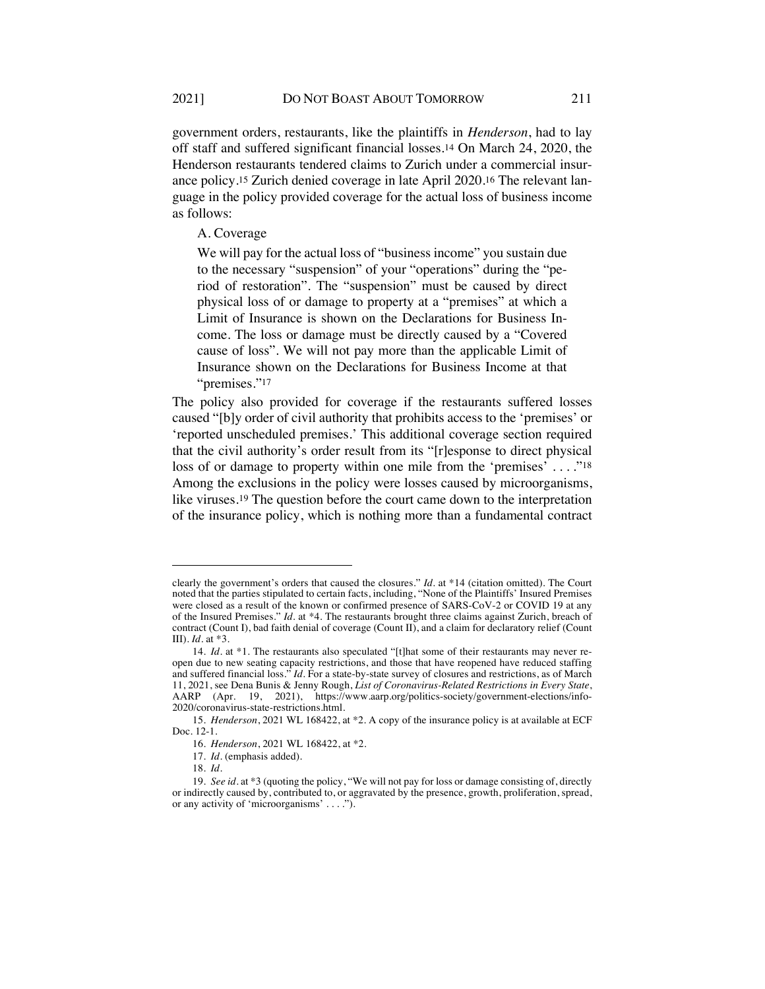government orders, restaurants, like the plaintiffs in *Henderson*, had to lay off staff and suffered significant financial losses.14 On March 24, 2020, the Henderson restaurants tendered claims to Zurich under a commercial insurance policy.15 Zurich denied coverage in late April 2020.16 The relevant language in the policy provided coverage for the actual loss of business income as follows:

A. Coverage

We will pay for the actual loss of "business income" you sustain due to the necessary "suspension" of your "operations" during the "period of restoration". The "suspension" must be caused by direct physical loss of or damage to property at a "premises" at which a Limit of Insurance is shown on the Declarations for Business Income. The loss or damage must be directly caused by a "Covered cause of loss". We will not pay more than the applicable Limit of Insurance shown on the Declarations for Business Income at that "premises."17

The policy also provided for coverage if the restaurants suffered losses caused "[b]y order of civil authority that prohibits access to the 'premises' or 'reported unscheduled premises.' This additional coverage section required that the civil authority's order result from its "[r]esponse to direct physical loss of or damage to property within one mile from the 'premises' ...."<sup>18</sup> Among the exclusions in the policy were losses caused by microorganisms, like viruses.19 The question before the court came down to the interpretation of the insurance policy, which is nothing more than a fundamental contract

clearly the government's orders that caused the closures." *Id.* at \*14 (citation omitted). The Court noted that the parties stipulated to certain facts, including, "None of the Plaintiffs' Insured Premises were closed as a result of the known or confirmed presence of SARS-CoV-2 or COVID 19 at any of the Insured Premises." *Id.* at \*4. The restaurants brought three claims against Zurich, breach of contract (Count I), bad faith denial of coverage (Count II), and a claim for declaratory relief (Count III). *Id.* at \*3.

<sup>14</sup>*. Id.* at \*1. The restaurants also speculated "[t]hat some of their restaurants may never reopen due to new seating capacity restrictions, and those that have reopened have reduced staffing and suffered financial loss." *Id*. For a state-by-state survey of closures and restrictions, as of March 11, 2021, see Dena Bunis & Jenny Rough, *List of Coronavirus-Related Restrictions in Every State*, AARP (Apr. 19, 2021), https://www.aarp.org/politics-society/government-elections/info-2020/coronavirus-state-restrictions.html.

<sup>15</sup>*. Henderson*, 2021 WL 168422, at \*2. A copy of the insurance policy is at available at ECF Doc. 12-1.

<sup>16</sup>*. Henderson*, 2021 WL 168422, at \*2.

<sup>17</sup>*. Id.* (emphasis added).

<sup>18</sup>*. Id.*

<sup>19</sup>*. See id.* at \*3 (quoting the policy, "We will not pay for loss or damage consisting of, directly or indirectly caused by, contributed to, or aggravated by the presence, growth, proliferation, spread, or any activity of 'microorganisms' . . . .").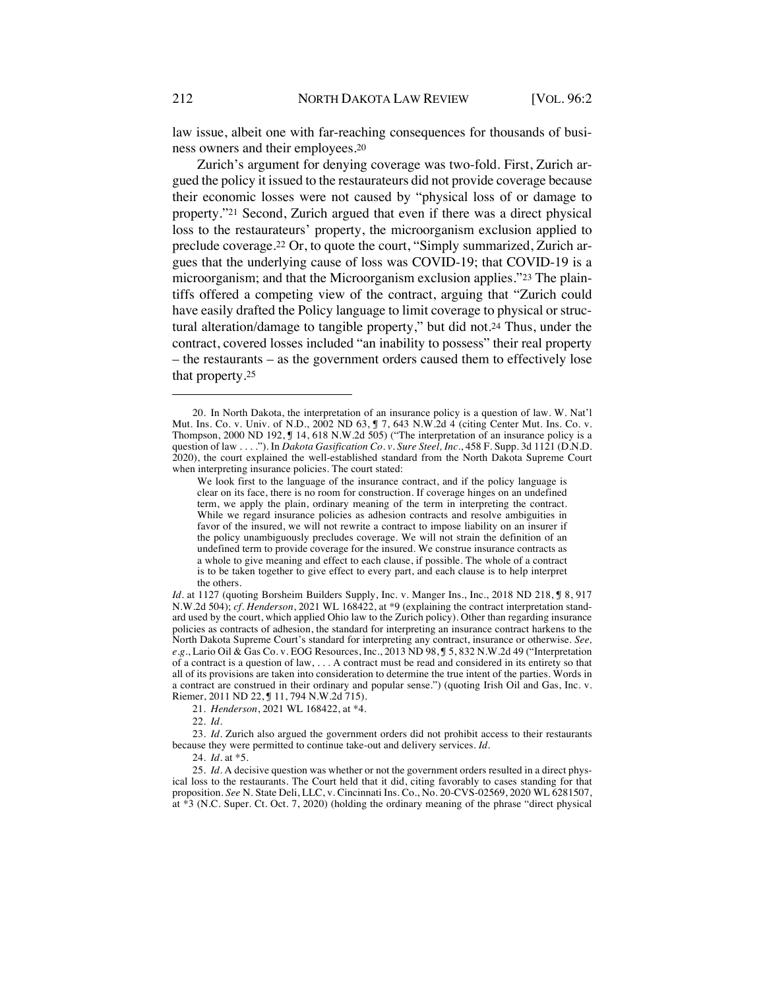law issue, albeit one with far-reaching consequences for thousands of business owners and their employees.20

Zurich's argument for denying coverage was two-fold. First, Zurich argued the policy it issued to the restaurateurs did not provide coverage because their economic losses were not caused by "physical loss of or damage to property."21 Second, Zurich argued that even if there was a direct physical loss to the restaurateurs' property, the microorganism exclusion applied to preclude coverage.22 Or, to quote the court, "Simply summarized, Zurich argues that the underlying cause of loss was COVID-19; that COVID-19 is a microorganism; and that the Microorganism exclusion applies."23 The plaintiffs offered a competing view of the contract, arguing that "Zurich could have easily drafted the Policy language to limit coverage to physical or structural alteration/damage to tangible property," but did not.24 Thus, under the contract, covered losses included "an inability to possess" their real property – the restaurants – as the government orders caused them to effectively lose that property.25

21*. Henderson*, 2021 WL 168422, at \*4.

22*. Id.*

23*. Id.* Zurich also argued the government orders did not prohibit access to their restaurants because they were permitted to continue take-out and delivery services. *Id.*

24*. Id.* at \*5.

25*. Id.* A decisive question was whether or not the government orders resulted in a direct physical loss to the restaurants. The Court held that it did, citing favorably to cases standing for that proposition. *See* N. State Deli, LLC, v. Cincinnati Ins. Co., No. 20-CVS-02569, 2020 WL 6281507, at \*3 (N.C. Super. Ct. Oct. 7, 2020) (holding the ordinary meaning of the phrase "direct physical

<sup>20.</sup> In North Dakota, the interpretation of an insurance policy is a question of law. W. Nat'l Mut. Ins. Co. v. Univ. of N.D., 2002 ND 63, ¶ 7, 643 N.W.2d 4 (citing Center Mut. Ins. Co. v. Thompson, 2000 ND 192, ¶ 14, 618 N.W.2d 505) ("The interpretation of an insurance policy is a question of law . . . . "). In *Dakota Gasification Co. v. Sure Steel, Inc.*, 458 F. Supp. 3d 1121 (D.N.D. 2020), the court explained the well-established standard from the North Dakota Supreme Court when interpreting insurance policies. The court stated:

We look first to the language of the insurance contract, and if the policy language is clear on its face, there is no room for construction. If coverage hinges on an undefined term, we apply the plain, ordinary meaning of the term in interpreting the contract. While we regard insurance policies as adhesion contracts and resolve ambiguities in favor of the insured, we will not rewrite a contract to impose liability on an insurer if the policy unambiguously precludes coverage. We will not strain the definition of an undefined term to provide coverage for the insured. We construe insurance contracts as a whole to give meaning and effect to each clause, if possible. The whole of a contract is to be taken together to give effect to every part, and each clause is to help interpret the others.

*Id.* at 1127 (quoting Borsheim Builders Supply, Inc. v. Manger Ins., Inc., 2018 ND 218, **J** 8, 917 N.W.2d 504); *cf. Henderson*, 2021 WL 168422, at \*9 (explaining the contract interpretation standard used by the court, which applied Ohio law to the Zurich policy). Other than regarding insurance policies as contracts of adhesion, the standard for interpreting an insurance contract harkens to the North Dakota Supreme Court's standard for interpreting any contract, insurance or otherwise. *See, e.g.*, Lario Oil & Gas Co. v. EOG Resources, Inc., 2013 ND 98, ¶ 5, 832 N.W.2d 49 ("Interpretation of a contract is a question of law, . . . A contract must be read and considered in its entirety so that all of its provisions are taken into consideration to determine the true intent of the parties. Words in a contract are construed in their ordinary and popular sense.") (quoting Irish Oil and Gas, Inc. v. Riemer, 2011 ND 22, ¶ 11, 794 N.W.2d 715).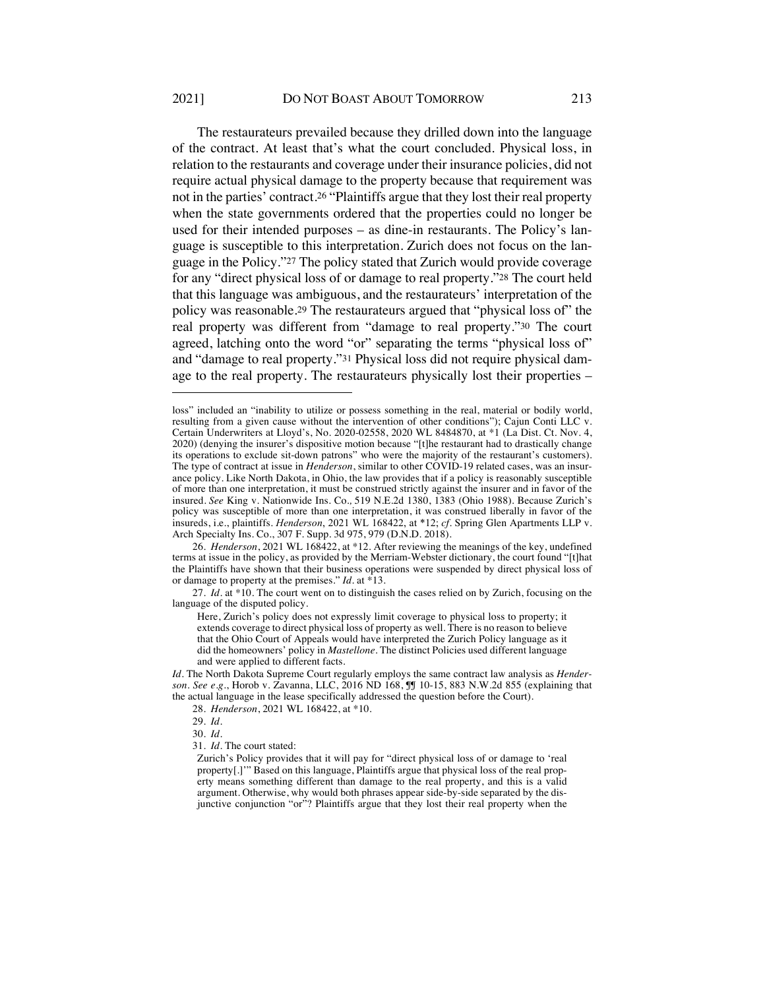The restaurateurs prevailed because they drilled down into the language of the contract. At least that's what the court concluded. Physical loss, in relation to the restaurants and coverage under their insurance policies, did not require actual physical damage to the property because that requirement was not in the parties' contract.26 "Plaintiffs argue that they lost their real property when the state governments ordered that the properties could no longer be used for their intended purposes – as dine-in restaurants. The Policy's language is susceptible to this interpretation. Zurich does not focus on the language in the Policy."27 The policy stated that Zurich would provide coverage for any "direct physical loss of or damage to real property."28 The court held that this language was ambiguous, and the restaurateurs' interpretation of the policy was reasonable.29 The restaurateurs argued that "physical loss of" the real property was different from "damage to real property."30 The court agreed, latching onto the word "or" separating the terms "physical loss of" and "damage to real property."31 Physical loss did not require physical damage to the real property. The restaurateurs physically lost their properties –

26*. Henderson*, 2021 WL 168422, at \*12. After reviewing the meanings of the key, undefined terms at issue in the policy, as provided by the Merriam-Webster dictionary, the court found "[t]hat the Plaintiffs have shown that their business operations were suspended by direct physical loss of or damage to property at the premises." *Id*. at \*13.

27*. Id.* at \*10. The court went on to distinguish the cases relied on by Zurich, focusing on the language of the disputed policy.

Here, Zurich's policy does not expressly limit coverage to physical loss to property; it extends coverage to direct physical loss of property as well. There is no reason to believe that the Ohio Court of Appeals would have interpreted the Zurich Policy language as it did the homeowners' policy in *Mastellone*. The distinct Policies used different language and were applied to different facts.

*Id.* The North Dakota Supreme Court regularly employs the same contract law analysis as *Henderson*. *See e.g.*, Horob v. Zavanna, LLC, 2016 ND 168, ¶¶ 10-15, 883 N.W.2d 855 (explaining that the actual language in the lease specifically addressed the question before the Court).

28*. Henderson*, 2021 WL 168422, at \*10.

29*. Id.*

30*. Id.*

31*. Id*. The court stated:

Zurich's Policy provides that it will pay for "direct physical loss of or damage to 'real property[.]'" Based on this language, Plaintiffs argue that physical loss of the real property means something different than damage to the real property, and this is a valid argument. Otherwise, why would both phrases appear side-by-side separated by the disjunctive conjunction "or"? Plaintiffs argue that they lost their real property when the

loss" included an "inability to utilize or possess something in the real, material or bodily world, resulting from a given cause without the intervention of other conditions"); Cajun Conti LLC v. Certain Underwriters at Lloyd's, No. 2020-02558, 2020 WL 8484870, at \*1 (La Dist. Ct. Nov. 4, 2020) (denying the insurer's dispositive motion because "[t]he restaurant had to drastically change its operations to exclude sit-down patrons" who were the majority of the restaurant's customers). The type of contract at issue in *Henderson*, similar to other COVID-19 related cases, was an insurance policy. Like North Dakota, in Ohio, the law provides that if a policy is reasonably susceptible of more than one interpretation, it must be construed strictly against the insurer and in favor of the insured. *See* King v. Nationwide Ins. Co.*,* 519 N.E.2d 1380, 1383 (Ohio 1988). Because Zurich's policy was susceptible of more than one interpretation, it was construed liberally in favor of the insureds, i.e., plaintiffs. *Henderson*, 2021 WL 168422, at \*12; *cf*. Spring Glen Apartments LLP v. Arch Specialty Ins. Co., 307 F. Supp. 3d 975, 979 (D.N.D. 2018).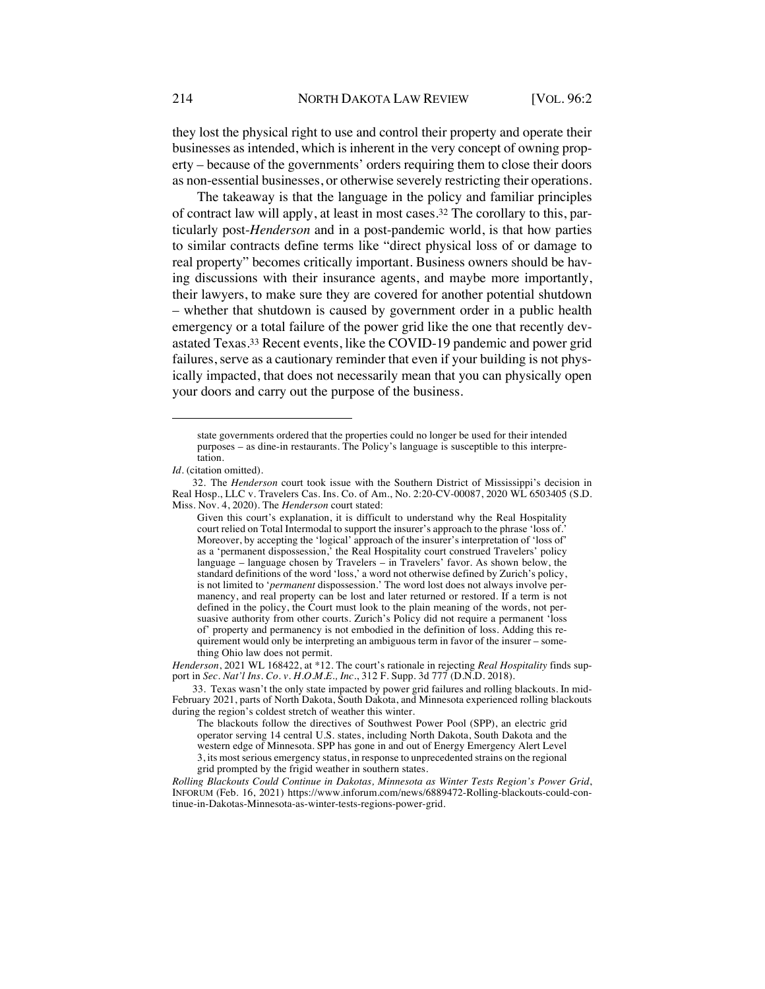they lost the physical right to use and control their property and operate their businesses as intended, which is inherent in the very concept of owning property – because of the governments' orders requiring them to close their doors as non-essential businesses, or otherwise severely restricting their operations.

The takeaway is that the language in the policy and familiar principles of contract law will apply, at least in most cases.32 The corollary to this, particularly post-*Henderson* and in a post-pandemic world, is that how parties to similar contracts define terms like "direct physical loss of or damage to real property" becomes critically important. Business owners should be having discussions with their insurance agents, and maybe more importantly, their lawyers, to make sure they are covered for another potential shutdown – whether that shutdown is caused by government order in a public health emergency or a total failure of the power grid like the one that recently devastated Texas.33 Recent events, like the COVID-19 pandemic and power grid failures, serve as a cautionary reminder that even if your building is not physically impacted, that does not necessarily mean that you can physically open your doors and carry out the purpose of the business.

*Henderson*, 2021 WL 168422, at \*12. The court's rationale in rejecting *Real Hospitality* finds support in *Sec. Nat'l Ins. Co. v. H.O.M.E., Inc.*, 312 F. Supp. 3d 777 (D.N.D. 2018).

33. Texas wasn't the only state impacted by power grid failures and rolling blackouts. In mid-February 2021, parts of North Dakota, South Dakota, and Minnesota experienced rolling blackouts during the region's coldest stretch of weather this winter.

The blackouts follow the directives of Southwest Power Pool (SPP), an electric grid operator serving 14 central U.S. states, including North Dakota, South Dakota and the western edge of Minnesota. SPP has gone in and out of Energy Emergency Alert Level 3, its most serious emergency status, in response to unprecedented strains on the regional grid prompted by the frigid weather in southern states.

*Rolling Blackouts Could Continue in Dakotas, Minnesota as Winter Tests Region's Power Grid*, INFORUM (Feb. 16, 2021) https://www.inforum.com/news/6889472-Rolling-blackouts-could-continue-in-Dakotas-Minnesota-as-winter-tests-regions-power-grid.

state governments ordered that the properties could no longer be used for their intended purposes – as dine-in restaurants. The Policy's language is susceptible to this interpretation.

Id. (citation omitted).

<sup>32.</sup> The *Henderson* court took issue with the Southern District of Mississippi's decision in Real Hosp., LLC v. Travelers Cas. Ins. Co. of Am., No. 2:20-CV-00087, 2020 WL 6503405 (S.D. Miss. Nov. 4, 2020). The *Henderson* court stated:

Given this court's explanation, it is difficult to understand why the Real Hospitality court relied on Total Intermodal to support the insurer's approach to the phrase 'loss of.' Moreover, by accepting the 'logical' approach of the insurer's interpretation of 'loss of' as a 'permanent dispossession,' the Real Hospitality court construed Travelers' policy language – language chosen by Travelers – in Travelers' favor. As shown below, the standard definitions of the word 'loss,' a word not otherwise defined by Zurich's policy, is not limited to '*permanent* dispossession.' The word lost does not always involve permanency, and real property can be lost and later returned or restored. If a term is not defined in the policy, the Court must look to the plain meaning of the words, not persuasive authority from other courts. Zurich's Policy did not require a permanent 'loss of' property and permanency is not embodied in the definition of loss. Adding this requirement would only be interpreting an ambiguous term in favor of the insurer – something Ohio law does not permit.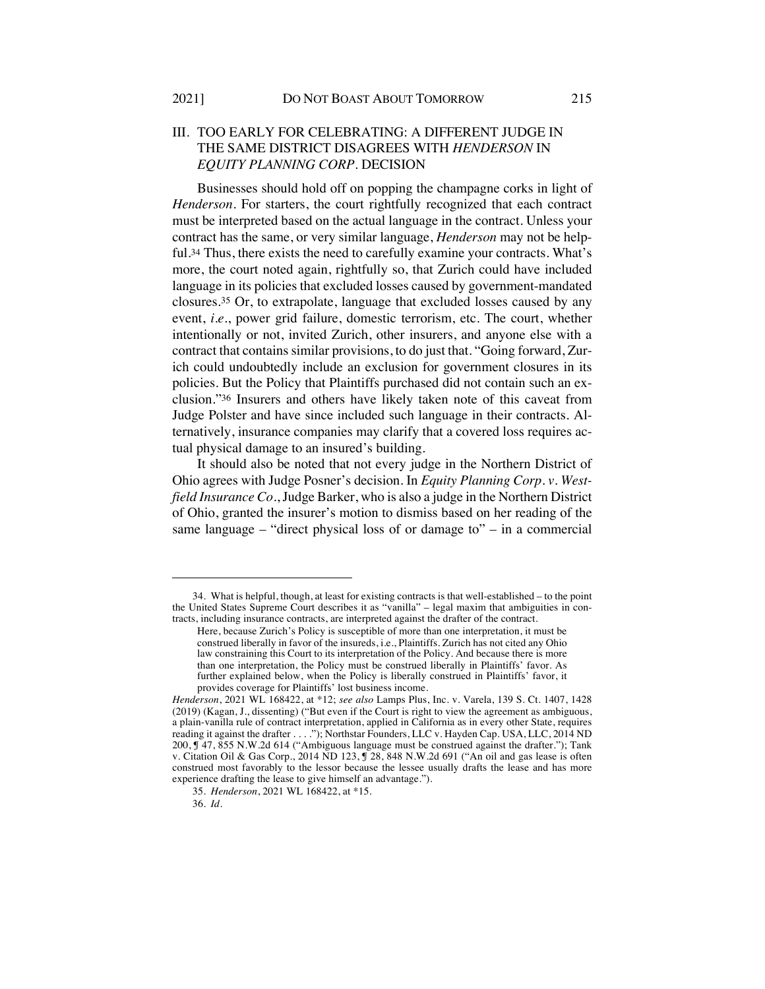# III. TOO EARLY FOR CELEBRATING: A DIFFERENT JUDGE IN THE SAME DISTRICT DISAGREES WITH *HENDERSON* IN *EQUITY PLANNING CORP.* DECISION

Businesses should hold off on popping the champagne corks in light of *Henderson*. For starters, the court rightfully recognized that each contract must be interpreted based on the actual language in the contract. Unless your contract has the same, or very similar language, *Henderson* may not be helpful.34 Thus, there exists the need to carefully examine your contracts. What's more, the court noted again, rightfully so, that Zurich could have included language in its policies that excluded losses caused by government-mandated closures.35 Or, to extrapolate, language that excluded losses caused by any event, *i.e.*, power grid failure, domestic terrorism, etc. The court, whether intentionally or not, invited Zurich, other insurers, and anyone else with a contract that contains similar provisions, to do just that. "Going forward, Zurich could undoubtedly include an exclusion for government closures in its policies. But the Policy that Plaintiffs purchased did not contain such an exclusion."36 Insurers and others have likely taken note of this caveat from Judge Polster and have since included such language in their contracts. Alternatively, insurance companies may clarify that a covered loss requires actual physical damage to an insured's building.

It should also be noted that not every judge in the Northern District of Ohio agrees with Judge Posner's decision. In *Equity Planning Corp. v. Westfield Insurance Co.*, Judge Barker, who is also a judge in the Northern District of Ohio, granted the insurer's motion to dismiss based on her reading of the same language – "direct physical loss of or damage to" – in a commercial

<sup>34.</sup> What is helpful, though, at least for existing contracts is that well-established – to the point the United States Supreme Court describes it as "vanilla" – legal maxim that ambiguities in contracts, including insurance contracts, are interpreted against the drafter of the contract.

Here, because Zurich's Policy is susceptible of more than one interpretation, it must be construed liberally in favor of the insureds, i.e., Plaintiffs. Zurich has not cited any Ohio law constraining this Court to its interpretation of the Policy. And because there is more than one interpretation, the Policy must be construed liberally in Plaintiffs' favor. As further explained below, when the Policy is liberally construed in Plaintiffs' favor, it provides coverage for Plaintiffs' lost business income.

*Henderson*, 2021 WL 168422, at \*12; *see also* Lamps Plus, Inc. v. Varela, 139 S. Ct. 1407, 1428 (2019) (Kagan, J., dissenting) ("But even if the Court is right to view the agreement as ambiguous, a plain-vanilla rule of contract interpretation, applied in California as in every other State, requires reading it against the drafter . . . ."); Northstar Founders, LLC v. Hayden Cap. USA, LLC, 2014 ND 200, ¶ 47, 855 N.W.2d 614 ("Ambiguous language must be construed against the drafter."); Tank v. Citation Oil & Gas Corp., 2014  $\overline{ND}$  123,  $\overline{Y}$  28, 848 N.W. 2d 691 ("An oil and gas lease is often construed most favorably to the lessor because the lessee usually drafts the lease and has more experience drafting the lease to give himself an advantage.").

<sup>35</sup>*. Henderson*, 2021 WL 168422, at \*15.

<sup>36</sup>*. Id.*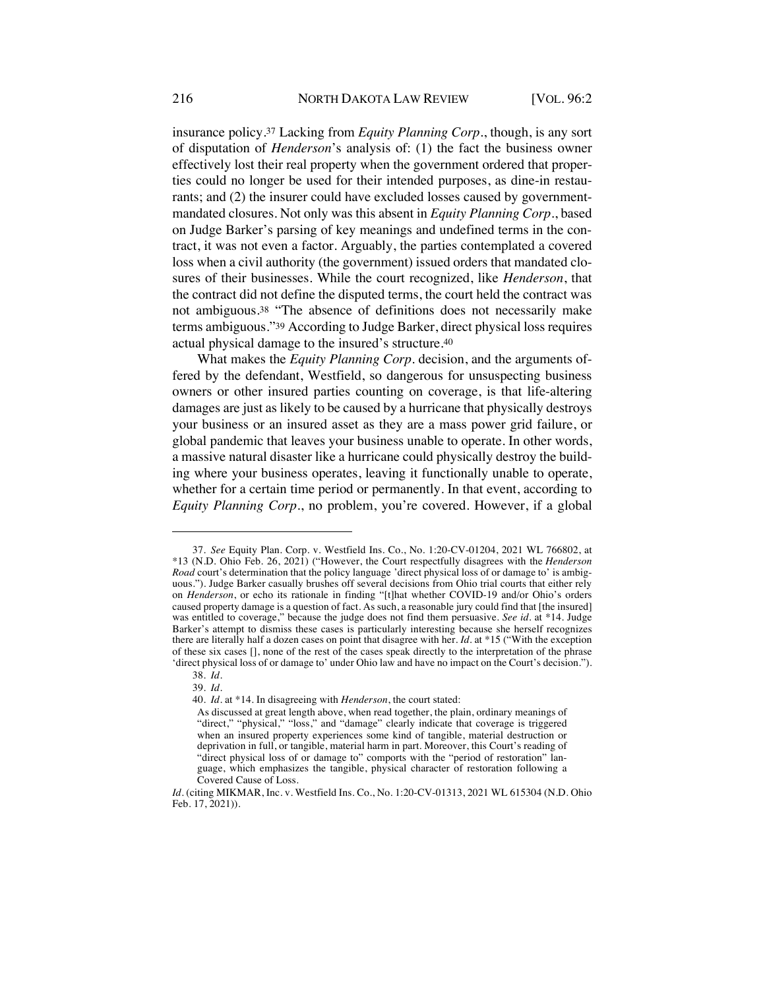insurance policy.37 Lacking from *Equity Planning Corp.*, though, is any sort of disputation of *Henderson*'s analysis of: (1) the fact the business owner effectively lost their real property when the government ordered that properties could no longer be used for their intended purposes, as dine-in restaurants; and (2) the insurer could have excluded losses caused by governmentmandated closures. Not only was this absent in *Equity Planning Corp.*, based on Judge Barker's parsing of key meanings and undefined terms in the contract, it was not even a factor. Arguably, the parties contemplated a covered loss when a civil authority (the government) issued orders that mandated closures of their businesses. While the court recognized, like *Henderson*, that the contract did not define the disputed terms, the court held the contract was not ambiguous.38 "The absence of definitions does not necessarily make terms ambiguous."39 According to Judge Barker, direct physical loss requires actual physical damage to the insured's structure.40

What makes the *Equity Planning Corp.* decision, and the arguments offered by the defendant, Westfield, so dangerous for unsuspecting business owners or other insured parties counting on coverage, is that life-altering damages are just as likely to be caused by a hurricane that physically destroys your business or an insured asset as they are a mass power grid failure, or global pandemic that leaves your business unable to operate. In other words, a massive natural disaster like a hurricane could physically destroy the building where your business operates, leaving it functionally unable to operate, whether for a certain time period or permanently. In that event, according to *Equity Planning Corp.*, no problem, you're covered. However, if a global

<sup>37</sup>*. See* Equity Plan. Corp. v. Westfield Ins. Co., No. 1:20-CV-01204, 2021 WL 766802, at \*13 (N.D. Ohio Feb. 26, 2021) ("However, the Court respectfully disagrees with the *Henderson Road* court's determination that the policy language 'direct physical loss of or damage to' is ambiguous."). Judge Barker casually brushes off several decisions from Ohio trial courts that either rely on *Henderson*, or echo its rationale in finding "[t]hat whether COVID-19 and/or Ohio's orders caused property damage is a question of fact. As such, a reasonable jury could find that [the insured] was entitled to coverage," because the judge does not find them persuasive*. See id.* at \*14. Judge Barker's attempt to dismiss these cases is particularly interesting because she herself recognizes there are literally half a dozen cases on point that disagree with her. *Id.* at \*15 ("With the exception of these six cases [], none of the rest of the cases speak directly to the interpretation of the phrase 'direct physical loss of or damage to' under Ohio law and have no impact on the Court's decision.").

<sup>38</sup>*. Id.*

<sup>39</sup>*. Id.*

<sup>40</sup>*. Id*. at \*14. In disagreeing with *Henderson*, the court stated:

As discussed at great length above, when read together, the plain, ordinary meanings of "direct," "physical," "loss," and "damage" clearly indicate that coverage is triggered when an insured property experiences some kind of tangible, material destruction or deprivation in full, or tangible, material harm in part. Moreover, this Court's reading of "direct physical loss of or damage to" comports with the "period of restoration" language, which emphasizes the tangible, physical character of restoration following a Covered Cause of Loss.

*Id.* (citing MIKMAR, Inc. v. Westfield Ins. Co., No. 1:20-CV-01313, 2021 WL 615304 (N.D. Ohio Feb. 17, 2021)).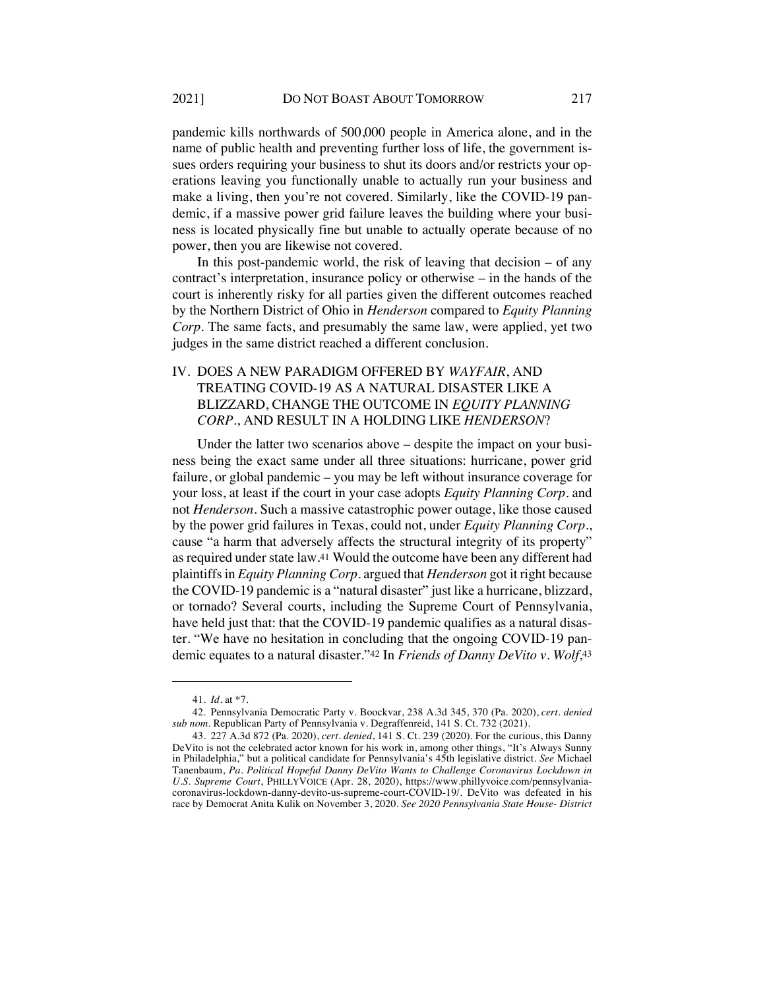pandemic kills northwards of 500,000 people in America alone, and in the name of public health and preventing further loss of life, the government issues orders requiring your business to shut its doors and/or restricts your operations leaving you functionally unable to actually run your business and make a living, then you're not covered. Similarly, like the COVID-19 pandemic, if a massive power grid failure leaves the building where your business is located physically fine but unable to actually operate because of no power, then you are likewise not covered.

In this post-pandemic world, the risk of leaving that decision  $-$  of any contract's interpretation, insurance policy or otherwise – in the hands of the court is inherently risky for all parties given the different outcomes reached by the Northern District of Ohio in *Henderson* compared to *Equity Planning Corp*. The same facts, and presumably the same law, were applied, yet two judges in the same district reached a different conclusion.

# IV. DOES A NEW PARADIGM OFFERED BY *WAYFAIR*, AND TREATING COVID-19 AS A NATURAL DISASTER LIKE A BLIZZARD, CHANGE THE OUTCOME IN *EQUITY PLANNING CORP.*, AND RESULT IN A HOLDING LIKE *HENDERSON*?

Under the latter two scenarios above – despite the impact on your business being the exact same under all three situations: hurricane, power grid failure, or global pandemic – you may be left without insurance coverage for your loss, at least if the court in your case adopts *Equity Planning Corp.* and not *Henderson*. Such a massive catastrophic power outage, like those caused by the power grid failures in Texas, could not, under *Equity Planning Corp.*, cause "a harm that adversely affects the structural integrity of its property" as required under state law.41 Would the outcome have been any different had plaintiffs in *Equity Planning Corp.* argued that *Henderson* got it right because the COVID-19 pandemic is a "natural disaster" just like a hurricane, blizzard, or tornado? Several courts, including the Supreme Court of Pennsylvania, have held just that: that the COVID-19 pandemic qualifies as a natural disaster. "We have no hesitation in concluding that the ongoing COVID-19 pandemic equates to a natural disaster."42 In *Friends of Danny DeVito v. Wolf*,43

<sup>41</sup>*. Id.* at \*7.

<sup>42.</sup> Pennsylvania Democratic Party v. Boockvar, 238 A.3d 345, 370 (Pa. 2020), *cert. denied sub nom*. Republican Party of Pennsylvania v. Degraffenreid, 141 S. Ct. 732 (2021).

<sup>43.</sup> 227 A.3d 872 (Pa. 2020), *cert. denied*, 141 S. Ct. 239 (2020). For the curious, this Danny DeVito is not the celebrated actor known for his work in, among other things, "It's Always Sunny in Philadelphia," but a political candidate for Pennsylvania's 45th legislative district. *See* Michael Tanenbaum, *Pa. Political Hopeful Danny DeVito Wants to Challenge Coronavirus Lockdown in U.S. Supreme Court*, PHILLYVOICE (Apr. 28, 2020), https://www.phillyvoice.com/pennsylvaniacoronavirus-lockdown-danny-devito-us-supreme-court-COVID-19/. DeVito was defeated in his race by Democrat Anita Kulik on November 3, 2020. *See 2020 Pennsylvania State House- District*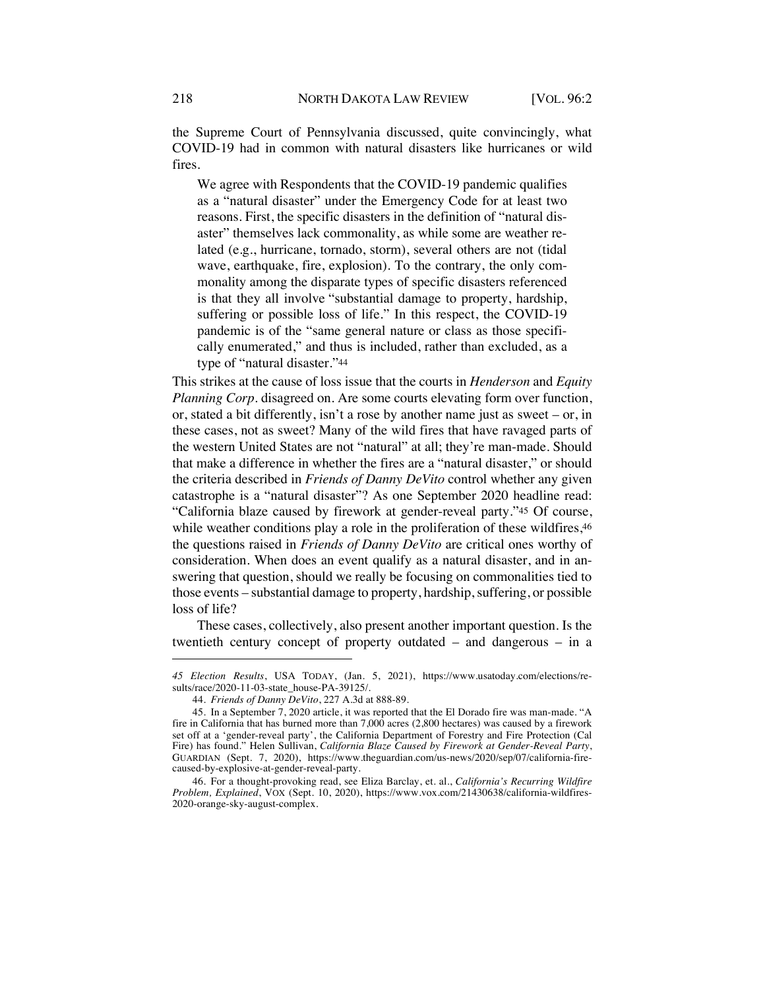the Supreme Court of Pennsylvania discussed, quite convincingly, what COVID-19 had in common with natural disasters like hurricanes or wild fires.

We agree with Respondents that the COVID-19 pandemic qualifies as a "natural disaster" under the Emergency Code for at least two reasons. First, the specific disasters in the definition of "natural disaster" themselves lack commonality, as while some are weather related (e.g., hurricane, tornado, storm), several others are not (tidal wave, earthquake, fire, explosion). To the contrary, the only commonality among the disparate types of specific disasters referenced is that they all involve "substantial damage to property, hardship, suffering or possible loss of life." In this respect, the COVID-19 pandemic is of the "same general nature or class as those specifically enumerated," and thus is included, rather than excluded, as a type of "natural disaster."44

This strikes at the cause of loss issue that the courts in *Henderson* and *Equity Planning Corp.* disagreed on. Are some courts elevating form over function, or, stated a bit differently, isn't a rose by another name just as sweet – or, in these cases, not as sweet? Many of the wild fires that have ravaged parts of the western United States are not "natural" at all; they're man-made. Should that make a difference in whether the fires are a "natural disaster," or should the criteria described in *Friends of Danny DeVito* control whether any given catastrophe is a "natural disaster"? As one September 2020 headline read: "California blaze caused by firework at gender-reveal party."45 Of course, while weather conditions play a role in the proliferation of these wildfires,  $46$ the questions raised in *Friends of Danny DeVito* are critical ones worthy of consideration. When does an event qualify as a natural disaster, and in answering that question, should we really be focusing on commonalities tied to those events – substantial damage to property, hardship, suffering, or possible loss of life?

These cases, collectively, also present another important question. Is the twentieth century concept of property outdated – and dangerous – in a

*<sup>45</sup> Election Results*, USA TODAY, (Jan. 5, 2021), https://www.usatoday.com/elections/results/race/2020-11-03-state\_house-PA-39125/.

<sup>44</sup>*. Friends of Danny DeVito*, 227 A.3d at 888-89.

<sup>45.</sup> In a September 7, 2020 article, it was reported that the El Dorado fire was man-made. "A fire in California that has burned more than 7,000 acres (2,800 hectares) was caused by a firework set off at a 'gender-reveal party', the California Department of Forestry and Fire Protection (Cal Fire) has found." Helen Sullivan, *California Blaze Caused by Firework at Gender-Reveal Party*, GUARDIAN (Sept. 7, 2020), https://www.theguardian.com/us-news/2020/sep/07/california-firecaused-by-explosive-at-gender-reveal-party.

<sup>46.</sup> For a thought-provoking read, see Eliza Barclay, et. al., *California's Recurring Wildfire Problem, Explained*, VOX (Sept. 10, 2020), https://www.vox.com/21430638/california-wildfires-2020-orange-sky-august-complex.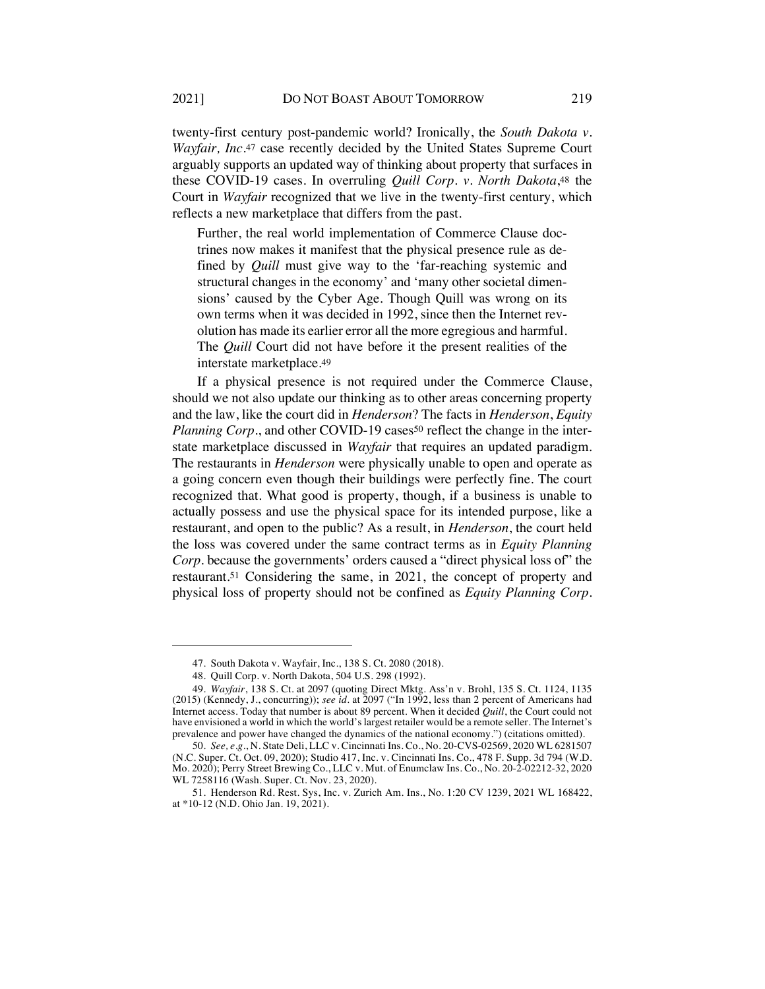twenty-first century post-pandemic world? Ironically, the *South Dakota v. Wayfair, Inc.*<sup>47</sup> case recently decided by the United States Supreme Court arguably supports an updated way of thinking about property that surfaces in these COVID-19 cases. In overruling *Quill Corp. v. North Dakota*,48 the Court in *Wayfair* recognized that we live in the twenty-first century, which reflects a new marketplace that differs from the past.

Further, the real world implementation of Commerce Clause doctrines now makes it manifest that the physical presence rule as defined by *Quill* must give way to the 'far-reaching systemic and structural changes in the economy' and 'many other societal dimensions' caused by the Cyber Age. Though Quill was wrong on its own terms when it was decided in 1992, since then the Internet revolution has made its earlier error all the more egregious and harmful. The *Quill* Court did not have before it the present realities of the interstate marketplace.49

If a physical presence is not required under the Commerce Clause, should we not also update our thinking as to other areas concerning property and the law, like the court did in *Henderson*? The facts in *Henderson*, *Equity Planning Corp.*, and other COVID-19 cases<sup>50</sup> reflect the change in the interstate marketplace discussed in *Wayfair* that requires an updated paradigm. The restaurants in *Henderson* were physically unable to open and operate as a going concern even though their buildings were perfectly fine. The court recognized that. What good is property, though, if a business is unable to actually possess and use the physical space for its intended purpose, like a restaurant, and open to the public? As a result, in *Henderson*, the court held the loss was covered under the same contract terms as in *Equity Planning Corp*. because the governments' orders caused a "direct physical loss of" the restaurant.51 Considering the same, in 2021, the concept of property and physical loss of property should not be confined as *Equity Planning Corp.*

<sup>47.</sup> South Dakota v. Wayfair, Inc., 138 S. Ct. 2080 (2018).

<sup>48.</sup> Quill Corp. v. North Dakota, 504 U.S. 298 (1992).

<sup>49</sup>*. Wayfair*, 138 S. Ct. at 2097 (quoting Direct Mktg. Ass'n v. Brohl, 135 S. Ct. 1124, 1135 (2015) (Kennedy, J., concurring)); *see id.* at 2097 ("In 1992, less than 2 percent of Americans had Internet access. Today that number is about 89 percent. When it decided *Quill*, the Court could not have envisioned a world in which the world's largest retailer would be a remote seller. The Internet's prevalence and power have changed the dynamics of the national economy.") (citations omitted).

<sup>50</sup>*. See, e.g.*, N. State Deli, LLC v. Cincinnati Ins. Co., No. 20-CVS-02569, 2020 WL 6281507 (N.C. Super. Ct. Oct. 09, 2020); Studio 417, Inc. v. Cincinnati Ins. Co., 478 F. Supp. 3d 794 (W.D. Mo. 2020); Perry Street Brewing Co., LLC v. Mut. of Enumclaw Ins. Co., No. 20-2-02212-32, 2020 WL 7258116 (Wash. Super. Ct. Nov. 23, 2020).

<sup>51.</sup> Henderson Rd. Rest. Sys, Inc. v. Zurich Am. Ins*.*, No. 1:20 CV 1239, 2021 WL 168422, at \*10-12 (N.D. Ohio Jan. 19, 2021).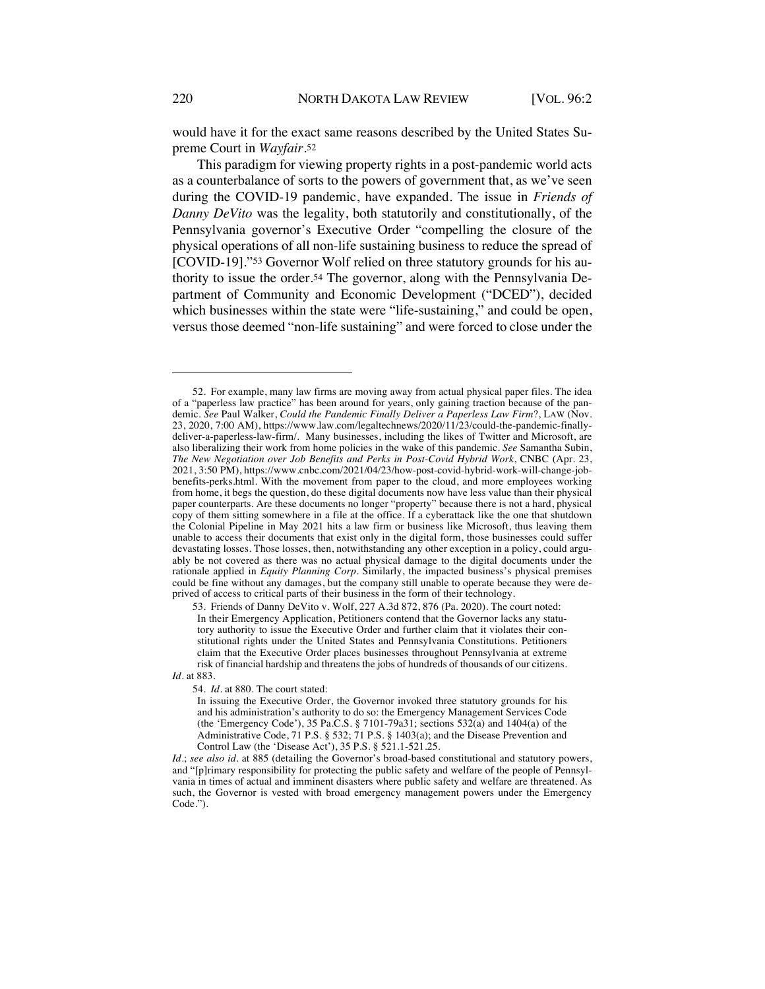would have it for the exact same reasons described by the United States Supreme Court in *Wayfair*.52

This paradigm for viewing property rights in a post-pandemic world acts as a counterbalance of sorts to the powers of government that, as we've seen during the COVID-19 pandemic, have expanded. The issue in *Friends of Danny DeVito* was the legality, both statutorily and constitutionally, of the Pennsylvania governor's Executive Order "compelling the closure of the physical operations of all non-life sustaining business to reduce the spread of [COVID-19]."53 Governor Wolf relied on three statutory grounds for his authority to issue the order.54 The governor, along with the Pennsylvania Department of Community and Economic Development ("DCED"), decided which businesses within the state were "life-sustaining," and could be open, versus those deemed "non-life sustaining" and were forced to close under the

54*. Id.* at 880. The court stated:

*Id.*; *see also id.* at 885 (detailing the Governor's broad-based constitutional and statutory powers, and "[p]rimary responsibility for protecting the public safety and welfare of the people of Pennsylvania in times of actual and imminent disasters where public safety and welfare are threatened. As such, the Governor is vested with broad emergency management powers under the Emergency Code.").

<sup>52.</sup> For example, many law firms are moving away from actual physical paper files. The idea of a "paperless law practice" has been around for years, only gaining traction because of the pandemic. *See* Paul Walker, *Could the Pandemic Finally Deliver a Paperless Law Firm*?, LAW (Nov. 23, 2020, 7:00 AM), https://www.law.com/legaltechnews/2020/11/23/could-the-pandemic-finallydeliver-a-paperless-law-firm/. Many businesses, including the likes of Twitter and Microsoft, are also liberalizing their work from home policies in the wake of this pandemic. *See* Samantha Subin, *The New Negotiation over Job Benefits and Perks in Post-Covid Hybrid Work*, CNBC (Apr. 23, 2021, 3:50 PM), https://www.cnbc.com/2021/04/23/how-post-covid-hybrid-work-will-change-jobbenefits-perks.html. With the movement from paper to the cloud, and more employees working from home, it begs the question, do these digital documents now have less value than their physical paper counterparts. Are these documents no longer "property" because there is not a hard, physical copy of them sitting somewhere in a file at the office. If a cyberattack like the one that shutdown the Colonial Pipeline in May 2021 hits a law firm or business like Microsoft, thus leaving them unable to access their documents that exist only in the digital form, those businesses could suffer devastating losses. Those losses, then, notwithstanding any other exception in a policy, could arguably be not covered as there was no actual physical damage to the digital documents under the rationale applied in *Equity Planning Corp*. Similarly, the impacted business's physical premises could be fine without any damages, but the company still unable to operate because they were deprived of access to critical parts of their business in the form of their technology.

<sup>53.</sup> Friends of Danny DeVito v. Wolf, 227 A.3d 872, 876 (Pa. 2020). The court noted: In their Emergency Application, Petitioners contend that the Governor lacks any statutory authority to issue the Executive Order and further claim that it violates their constitutional rights under the United States and Pennsylvania Constitutions. Petitioners claim that the Executive Order places businesses throughout Pennsylvania at extreme risk of financial hardship and threatens the jobs of hundreds of thousands of our citizens. *Id.* at 883.

In issuing the Executive Order, the Governor invoked three statutory grounds for his and his administration's authority to do so: the Emergency Management Services Code (the 'Emergency Code'), 35 Pa.C.S. § 7101-79a31; sections 532(a) and 1404(a) of the Administrative Code, 71 P.S. § 532; 71 P.S. § 1403(a); and the Disease Prevention and Control Law (the 'Disease Act'), 35 P.S. § 521.1-521.25.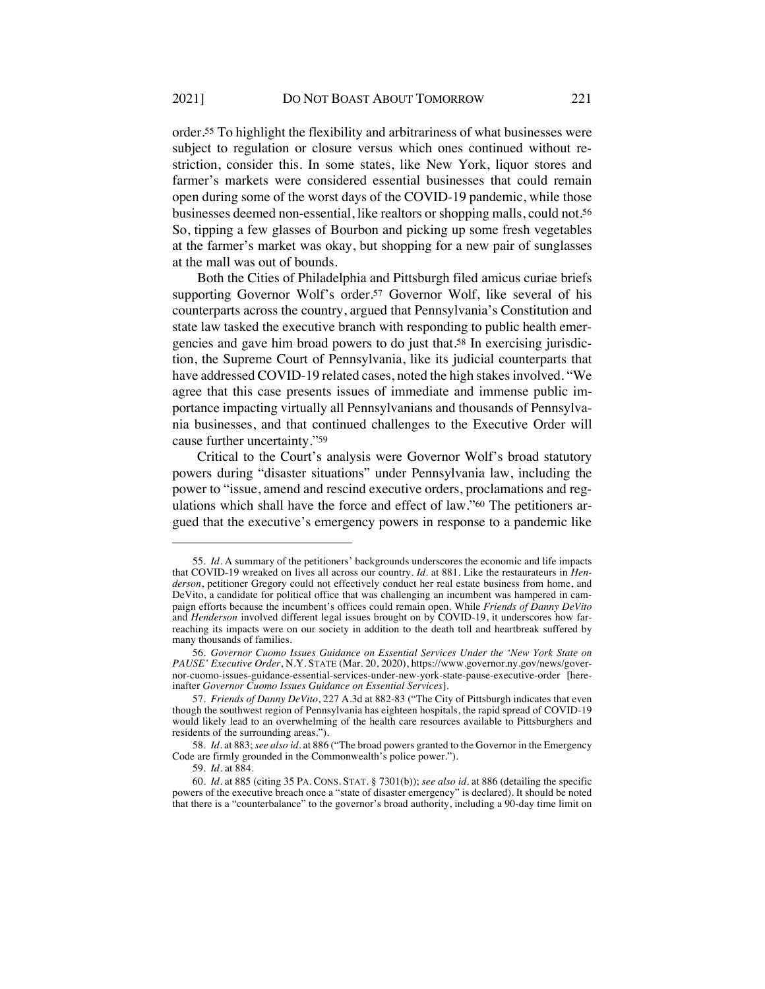order.55 To highlight the flexibility and arbitrariness of what businesses were subject to regulation or closure versus which ones continued without restriction, consider this. In some states, like New York, liquor stores and farmer's markets were considered essential businesses that could remain open during some of the worst days of the COVID-19 pandemic, while those businesses deemed non-essential, like realtors or shopping malls, could not.56 So, tipping a few glasses of Bourbon and picking up some fresh vegetables at the farmer's market was okay, but shopping for a new pair of sunglasses at the mall was out of bounds.

Both the Cities of Philadelphia and Pittsburgh filed amicus curiae briefs supporting Governor Wolf's order.<sup>57</sup> Governor Wolf, like several of his counterparts across the country, argued that Pennsylvania's Constitution and state law tasked the executive branch with responding to public health emergencies and gave him broad powers to do just that.58 In exercising jurisdiction, the Supreme Court of Pennsylvania, like its judicial counterparts that have addressed COVID-19 related cases, noted the high stakes involved. "We agree that this case presents issues of immediate and immense public importance impacting virtually all Pennsylvanians and thousands of Pennsylvania businesses, and that continued challenges to the Executive Order will cause further uncertainty."59

Critical to the Court's analysis were Governor Wolf's broad statutory powers during "disaster situations" under Pennsylvania law, including the power to "issue, amend and rescind executive orders, proclamations and regulations which shall have the force and effect of law."60 The petitioners argued that the executive's emergency powers in response to a pandemic like

<sup>55</sup>*. Id.* A summary of the petitioners' backgrounds underscores the economic and life impacts that COVID-19 wreaked on lives all across our country. *Id.* at 881. Like the restaurateurs in *Henderson*, petitioner Gregory could not effectively conduct her real estate business from home, and DeVito, a candidate for political office that was challenging an incumbent was hampered in campaign efforts because the incumbent's offices could remain open. While *Friends of Danny DeVito* and *Henderson* involved different legal issues brought on by COVID-19, it underscores how farreaching its impacts were on our society in addition to the death toll and heartbreak suffered by many thousands of families.

<sup>56</sup>*. Governor Cuomo Issues Guidance on Essential Services Under the 'New York State on PAUSE' Executive Order*, N.Y. STATE (Mar. 20, 2020), https://www.governor.ny.gov/news/governor-cuomo-issues-guidance-essential-services-under-new-york-state-pause-executive-order [hereinafter *Governor Cuomo Issues Guidance on Essential Services*].

<sup>57</sup>*. Friends of Danny DeVito*, 227 A.3d at 882-83 ("The City of Pittsburgh indicates that even though the southwest region of Pennsylvania has eighteen hospitals, the rapid spread of COVID-19 would likely lead to an overwhelming of the health care resources available to Pittsburghers and residents of the surrounding areas.").

<sup>58</sup>*. Id.* at 883; *see also id.* at 886 ("The broad powers granted to the Governor in the Emergency Code are firmly grounded in the Commonwealth's police power.").

<sup>59</sup>*. Id.* at 884.

<sup>60</sup>*. Id*. at 885 (citing 35 PA. CONS. STAT. § 7301(b)); *see also id.* at 886 (detailing the specific powers of the executive breach once a "state of disaster emergency" is declared). It should be noted that there is a "counterbalance" to the governor's broad authority, including a 90-day time limit on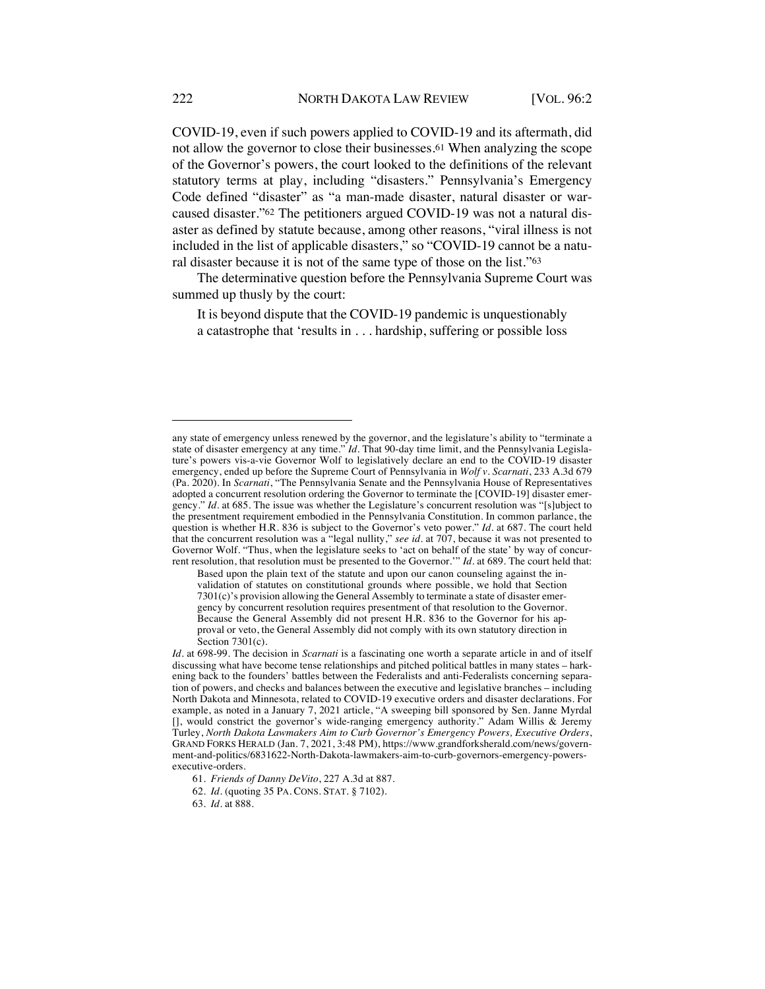COVID-19, even if such powers applied to COVID-19 and its aftermath, did not allow the governor to close their businesses.61 When analyzing the scope of the Governor's powers, the court looked to the definitions of the relevant statutory terms at play, including "disasters." Pennsylvania's Emergency Code defined "disaster" as "a man-made disaster, natural disaster or warcaused disaster."62 The petitioners argued COVID-19 was not a natural disaster as defined by statute because, among other reasons, "viral illness is not included in the list of applicable disasters," so "COVID-19 cannot be a natural disaster because it is not of the same type of those on the list."63

The determinative question before the Pennsylvania Supreme Court was summed up thusly by the court:

It is beyond dispute that the COVID-19 pandemic is unquestionably a catastrophe that 'results in . . . hardship, suffering or possible loss

63*. Id.* at 888.

any state of emergency unless renewed by the governor, and the legislature's ability to "terminate a state of disaster emergency at any time." *Id.* That 90-day time limit, and the Pennsylvania Legislature's powers vis-a-vie Governor Wolf to legislatively declare an end to the COVID-19 disaster emergency, ended up before the Supreme Court of Pennsylvania in *Wolf v. Scarnati*, 233 A.3d 679 (Pa. 2020). In *Scarnati*, "The Pennsylvania Senate and the Pennsylvania House of Representatives adopted a concurrent resolution ordering the Governor to terminate the [COVID-19] disaster emergency." *Id*. at 685. The issue was whether the Legislature's concurrent resolution was "[s]ubject to the presentment requirement embodied in the Pennsylvania Constitution. In common parlance, the question is whether H.R. 836 is subject to the Governor's veto power." *Id*. at 687. The court held that the concurrent resolution was a "legal nullity," *see id.* at 707, because it was not presented to Governor Wolf. "Thus, when the legislature seeks to 'act on behalf of the state' by way of concurrent resolution, that resolution must be presented to the Governor.'" *Id*. at 689. The court held that:

Based upon the plain text of the statute and upon our canon counseling against the invalidation of statutes on constitutional grounds where possible, we hold that Section 7301(c)'s provision allowing the General Assembly to terminate a state of disaster emergency by concurrent resolution requires presentment of that resolution to the Governor. Because the General Assembly did not present H.R. 836 to the Governor for his approval or veto, the General Assembly did not comply with its own statutory direction in Section 7301(c).

*Id*. at 698-99. The decision in *Scarnati* is a fascinating one worth a separate article in and of itself discussing what have become tense relationships and pitched political battles in many states – harkening back to the founders' battles between the Federalists and anti-Federalists concerning separation of powers, and checks and balances between the executive and legislative branches – including North Dakota and Minnesota, related to COVID-19 executive orders and disaster declarations. For example, as noted in a January 7, 2021 article, "A sweeping bill sponsored by Sen. Janne Myrdal [], would constrict the governor's wide-ranging emergency authority." Adam Willis & Jeremy Turley, *North Dakota Lawmakers Aim to Curb Governor's Emergency Powers, Executive Orders*, GRAND FORKS HERALD (Jan. 7, 2021, 3:48 PM), https://www.grandforksherald.com/news/government-and-politics/6831622-North-Dakota-lawmakers-aim-to-curb-governors-emergency-powersexecutive-orders.

<sup>61</sup>*. Friends of Danny DeVito*, 227 A.3d at 887.

<sup>62</sup>*. Id.* (quoting 35 PA. CONS. STAT. § 7102).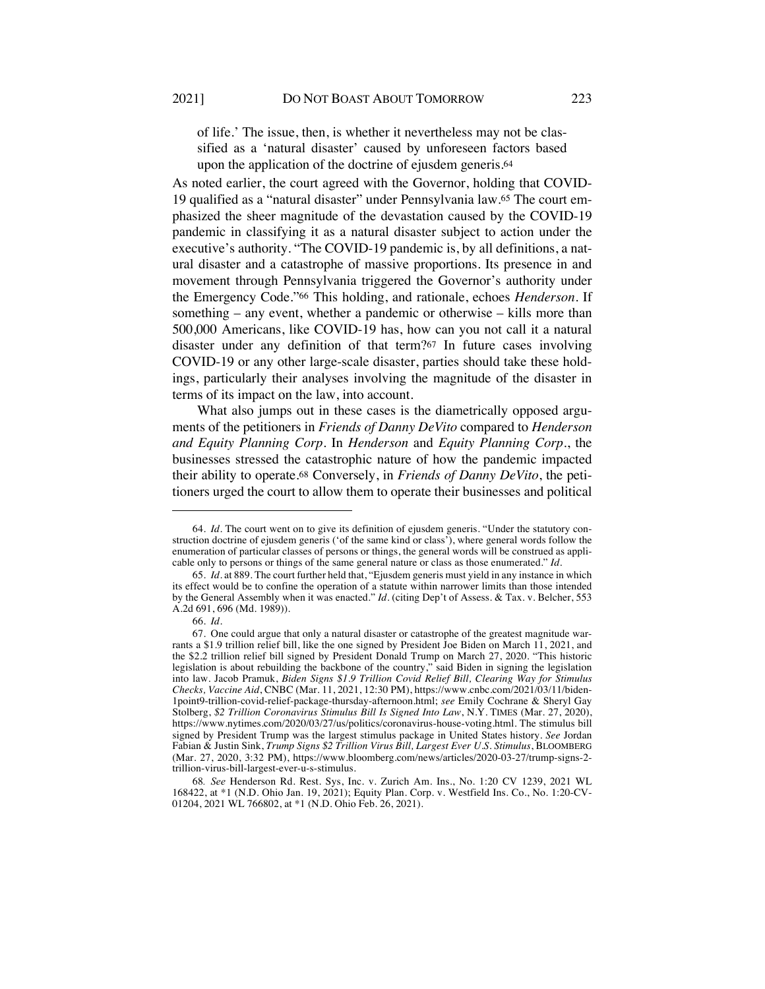of life.' The issue, then, is whether it nevertheless may not be classified as a 'natural disaster' caused by unforeseen factors based upon the application of the doctrine of ejusdem generis.64

As noted earlier, the court agreed with the Governor, holding that COVID-19 qualified as a "natural disaster" under Pennsylvania law.65 The court emphasized the sheer magnitude of the devastation caused by the COVID-19 pandemic in classifying it as a natural disaster subject to action under the executive's authority. "The COVID-19 pandemic is, by all definitions, a natural disaster and a catastrophe of massive proportions. Its presence in and movement through Pennsylvania triggered the Governor's authority under the Emergency Code."66 This holding, and rationale, echoes *Henderson*. If something – any event, whether a pandemic or otherwise – kills more than 500,000 Americans, like COVID-19 has, how can you not call it a natural disaster under any definition of that term?67 In future cases involving COVID-19 or any other large-scale disaster, parties should take these holdings, particularly their analyses involving the magnitude of the disaster in terms of its impact on the law, into account.

What also jumps out in these cases is the diametrically opposed arguments of the petitioners in *Friends of Danny DeVito* compared to *Henderson and Equity Planning Corp*. In *Henderson* and *Equity Planning Corp*., the businesses stressed the catastrophic nature of how the pandemic impacted their ability to operate.68 Conversely, in *Friends of Danny DeVito*, the petitioners urged the court to allow them to operate their businesses and political

<sup>64</sup>*. Id.* The court went on to give its definition of ejusdem generis. "Under the statutory construction doctrine of ejusdem generis ('of the same kind or class'), where general words follow the enumeration of particular classes of persons or things, the general words will be construed as applicable only to persons or things of the same general nature or class as those enumerated." *Id.*

<sup>65</sup>*. Id.* at 889. The court further held that, "Ejusdem generis must yield in any instance in which its effect would be to confine the operation of a statute within narrower limits than those intended by the General Assembly when it was enacted." *Id.* (citing Dep't of Assess. & Tax. v. Belcher, 553 A.2d 691, 696 (Md. 1989)).

<sup>66</sup>*. Id.*

<sup>67.</sup> One could argue that only a natural disaster or catastrophe of the greatest magnitude warrants a \$1.9 trillion relief bill, like the one signed by President Joe Biden on March 11, 2021, and the \$2.2 trillion relief bill signed by President Donald Trump on March 27, 2020. "This historic legislation is about rebuilding the backbone of the country," said Biden in signing the legislation into law. Jacob Pramuk, *Biden Signs \$1.9 Trillion Covid Relief Bill, Clearing Way for Stimulus Checks, Vaccine Aid*, CNBC (Mar. 11, 2021, 12:30 PM), https://www.cnbc.com/2021/03/11/biden-1point9-trillion-covid-relief-package-thursday-afternoon.html; *see* Emily Cochrane & Sheryl Gay Stolberg, *\$2 Trillion Coronavirus Stimulus Bill Is Signed Into Law*, N.Y. TIMES (Mar. 27, 2020), https://www.nytimes.com/2020/03/27/us/politics/coronavirus-house-voting.html. The stimulus bill signed by President Trump was the largest stimulus package in United States history. *See* Jordan Fabian & Justin Sink, *Trump Signs \$2 Trillion Virus Bill, Largest Ever U.S. Stimulus*, BLOOMBERG (Mar. 27, 2020, 3:32 PM), https://www.bloomberg.com/news/articles/2020-03-27/trump-signs-2 trillion-virus-bill-largest-ever-u-s-stimulus.

<sup>68</sup>*. See* Henderson Rd. Rest. Sys, Inc. v. Zurich Am. Ins*.*, No. 1:20 CV 1239, 2021 WL 168422, at \*1 (N.D. Ohio Jan. 19, 2021); Equity Plan. Corp. v. Westfield Ins. Co., No. 1:20-CV-01204, 2021 WL 766802, at \*1 (N.D. Ohio Feb. 26, 2021).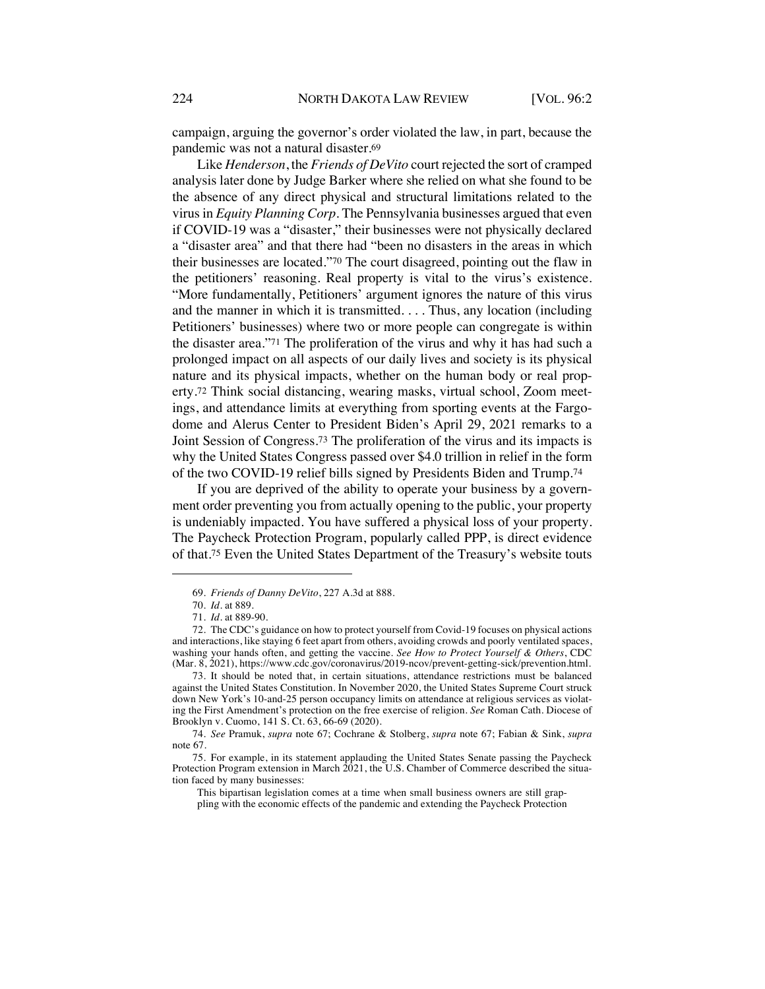campaign, arguing the governor's order violated the law, in part, because the pandemic was not a natural disaster.69

Like *Henderson*, the *Friends of DeVito* court rejected the sort of cramped analysis later done by Judge Barker where she relied on what she found to be the absence of any direct physical and structural limitations related to the virus in *Equity Planning Corp*. The Pennsylvania businesses argued that even if COVID-19 was a "disaster," their businesses were not physically declared a "disaster area" and that there had "been no disasters in the areas in which their businesses are located."70 The court disagreed, pointing out the flaw in the petitioners' reasoning. Real property is vital to the virus's existence. "More fundamentally, Petitioners' argument ignores the nature of this virus and the manner in which it is transmitted. . . . Thus, any location (including Petitioners' businesses) where two or more people can congregate is within the disaster area."71 The proliferation of the virus and why it has had such a prolonged impact on all aspects of our daily lives and society is its physical nature and its physical impacts, whether on the human body or real property.72 Think social distancing, wearing masks, virtual school, Zoom meetings, and attendance limits at everything from sporting events at the Fargodome and Alerus Center to President Biden's April 29, 2021 remarks to a Joint Session of Congress.73 The proliferation of the virus and its impacts is why the United States Congress passed over \$4.0 trillion in relief in the form of the two COVID-19 relief bills signed by Presidents Biden and Trump.74

If you are deprived of the ability to operate your business by a government order preventing you from actually opening to the public, your property is undeniably impacted. You have suffered a physical loss of your property. The Paycheck Protection Program, popularly called PPP, is direct evidence of that.75 Even the United States Department of the Treasury's website touts

<sup>69</sup>*. Friends of Danny DeVito*, 227 A.3d at 888.

<sup>70</sup>*. Id.* at 889.

<sup>71</sup>*. Id.* at 889-90.

<sup>72.</sup> The CDC's guidance on how to protect yourself from Covid-19 focuses on physical actions and interactions, like staying 6 feet apart from others, avoiding crowds and poorly ventilated spaces, washing your hands often, and getting the vaccine. *See How to Protect Yourself & Others*, CDC (Mar. 8, 2021), https://www.cdc.gov/coronavirus/2019-ncov/prevent-getting-sick/prevention.html.

<sup>73.</sup> It should be noted that, in certain situations, attendance restrictions must be balanced against the United States Constitution. In November 2020, the United States Supreme Court struck down New York's 10-and-25 person occupancy limits on attendance at religious services as violating the First Amendment's protection on the free exercise of religion. *See* Roman Cath. Diocese of Brooklyn v. Cuomo, 141 S. Ct. 63, 66-69 (2020).

<sup>74</sup>*. See* Pramuk, *supra* note 67; Cochrane & Stolberg, *supra* note 67; Fabian & Sink, *supra*  note 67.

<sup>75.</sup> For example, in its statement applauding the United States Senate passing the Paycheck Protection Program extension in March 2021, the U.S. Chamber of Commerce described the situation faced by many businesses:

This bipartisan legislation comes at a time when small business owners are still grappling with the economic effects of the pandemic and extending the Paycheck Protection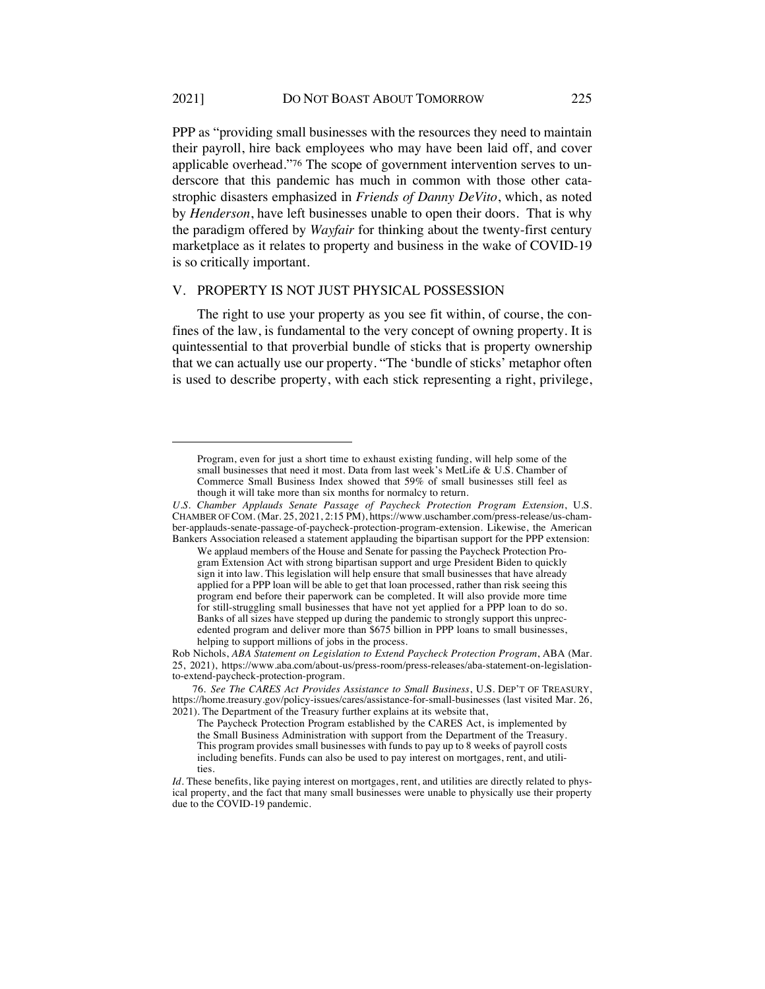PPP as "providing small businesses with the resources they need to maintain their payroll, hire back employees who may have been laid off, and cover applicable overhead."76 The scope of government intervention serves to underscore that this pandemic has much in common with those other catastrophic disasters emphasized in *Friends of Danny DeVito*, which, as noted by *Henderson*, have left businesses unable to open their doors. That is why the paradigm offered by *Wayfair* for thinking about the twenty-first century marketplace as it relates to property and business in the wake of COVID-19 is so critically important.

#### V. PROPERTY IS NOT JUST PHYSICAL POSSESSION

The right to use your property as you see fit within, of course, the confines of the law, is fundamental to the very concept of owning property. It is quintessential to that proverbial bundle of sticks that is property ownership that we can actually use our property. "The 'bundle of sticks' metaphor often is used to describe property, with each stick representing a right, privilege,

Program, even for just a short time to exhaust existing funding, will help some of the small businesses that need it most. Data from last week's MetLife & U.S. Chamber of Commerce Small Business Index showed that 59% of small businesses still feel as though it will take more than six months for normalcy to return.

*U.S. Chamber Applauds Senate Passage of Paycheck Protection Program Extension*, U.S. CHAMBER OF COM. (Mar. 25, 2021, 2:15 PM), https://www.uschamber.com/press-release/us-chamber-applauds-senate-passage-of-paycheck-protection-program-extension. Likewise, the American Bankers Association released a statement applauding the bipartisan support for the PPP extension:

We applaud members of the House and Senate for passing the Paycheck Protection Program Extension Act with strong bipartisan support and urge President Biden to quickly sign it into law. This legislation will help ensure that small businesses that have already applied for a PPP loan will be able to get that loan processed, rather than risk seeing this program end before their paperwork can be completed. It will also provide more time for still-struggling small businesses that have not yet applied for a PPP loan to do so. Banks of all sizes have stepped up during the pandemic to strongly support this unprecedented program and deliver more than \$675 billion in PPP loans to small businesses, helping to support millions of jobs in the process.

Rob Nichols, *ABA Statement on Legislation to Extend Paycheck Protection Program*, ABA (Mar. 25, 2021), https://www.aba.com/about-us/press-room/press-releases/aba-statement-on-legislationto-extend-paycheck-protection-program.

<sup>76</sup>*. See The CARES Act Provides Assistance to Small Business*, U.S. DEP'T OF TREASURY, https://home.treasury.gov/policy-issues/cares/assistance-for-small-businesses (last visited Mar. 26, 2021). The Department of the Treasury further explains at its website that,

The Paycheck Protection Program established by the CARES Act, is implemented by the Small Business Administration with support from the Department of the Treasury. This program provides small businesses with funds to pay up to 8 weeks of payroll costs including benefits. Funds can also be used to pay interest on mortgages, rent, and utilities.

*Id.* These benefits, like paying interest on mortgages, rent, and utilities are directly related to physical property, and the fact that many small businesses were unable to physically use their property due to the COVID-19 pandemic.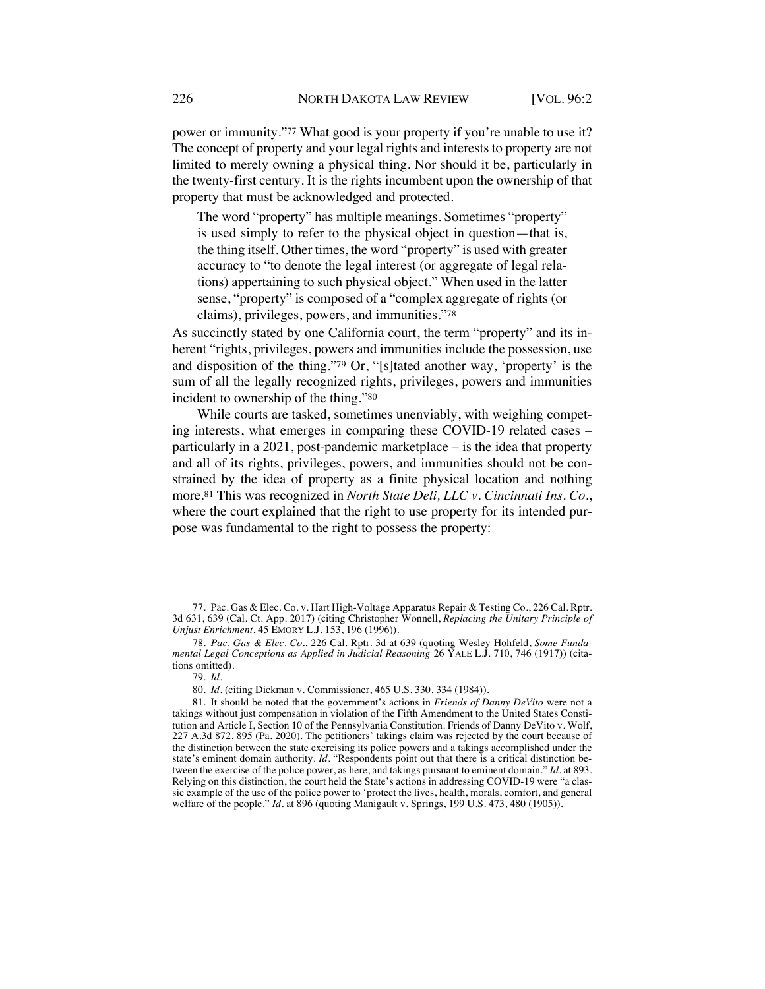power or immunity."77 What good is your property if you're unable to use it? The concept of property and your legal rights and interests to property are not limited to merely owning a physical thing. Nor should it be, particularly in the twenty-first century. It is the rights incumbent upon the ownership of that property that must be acknowledged and protected.

The word "property" has multiple meanings. Sometimes "property" is used simply to refer to the physical object in question—that is, the thing itself. Other times, the word "property" is used with greater accuracy to "to denote the legal interest (or aggregate of legal relations) appertaining to such physical object." When used in the latter sense, "property" is composed of a "complex aggregate of rights (or claims), privileges, powers, and immunities."78

As succinctly stated by one California court, the term "property" and its inherent "rights, privileges, powers and immunities include the possession, use and disposition of the thing."79 Or, "[s]tated another way, 'property' is the sum of all the legally recognized rights, privileges, powers and immunities incident to ownership of the thing."80

While courts are tasked, sometimes unenviably, with weighing competing interests, what emerges in comparing these COVID-19 related cases – particularly in a 2021, post-pandemic marketplace – is the idea that property and all of its rights, privileges, powers, and immunities should not be constrained by the idea of property as a finite physical location and nothing more.81 This was recognized in *North State Deli, LLC v. Cincinnati Ins. Co.*, where the court explained that the right to use property for its intended purpose was fundamental to the right to possess the property:

<sup>77.</sup> Pac. Gas & Elec. Co. v. Hart High-Voltage Apparatus Repair & Testing Co., 226 Cal. Rptr. 3d 631, 639 (Cal. Ct. App. 2017) (citing Christopher Wonnell, *Replacing the Unitary Principle of Unjust Enrichment*, 45 EMORY L.J. 153, 196 (1996)).

<sup>78</sup>*. Pac. Gas & Elec. Co.*, 226 Cal. Rptr. 3d at 639 (quoting Wesley Hohfeld, *Some Fundamental Legal Conceptions as Applied in Judicial Reasoning* 26 YALE L.J. 710, 746 (1917)) (citations omitted).

<sup>79</sup>*. Id.*

<sup>80</sup>*. Id.* (citing Dickman v. Commissioner, 465 U.S. 330, 334 (1984)).

<sup>81.</sup> It should be noted that the government's actions in *Friends of Danny DeVito* were not a takings without just compensation in violation of the Fifth Amendment to the United States Constitution and Article I, Section 10 of the Pennsylvania Constitution. Friends of Danny DeVito v. Wolf, 227 A.3d 872, 895 (Pa. 2020). The petitioners' takings claim was rejected by the court because of the distinction between the state exercising its police powers and a takings accomplished under the state's eminent domain authority. *Id.* "Respondents point out that there is a critical distinction between the exercise of the police power, as here, and takings pursuant to eminent domain." *Id.* at 893. Relying on this distinction, the court held the State's actions in addressing COVID-19 were "a classic example of the use of the police power to 'protect the lives, health, morals, comfort, and general welfare of the people." *Id.* at 896 (quoting Manigault v. Springs, 199 U.S. 473, 480 (1905)).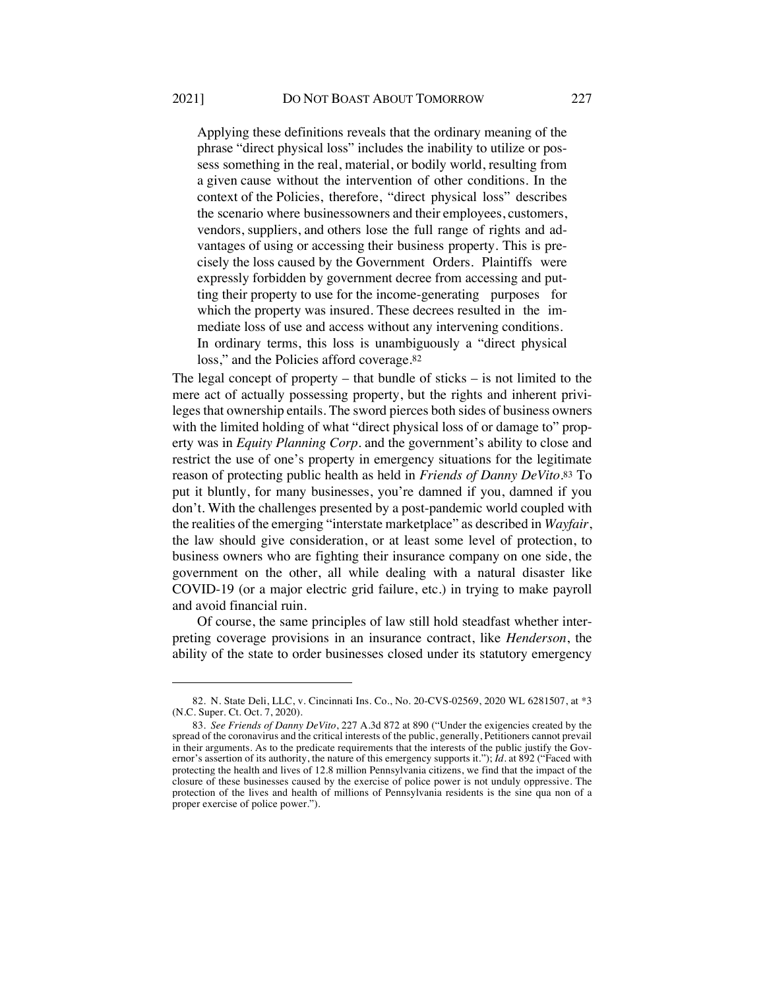Applying these definitions reveals that the ordinary meaning of the phrase "direct physical loss" includes the inability to utilize or possess something in the real, material, or bodily world, resulting from a given cause without the intervention of other conditions. In the context of the Policies, therefore, "direct physical loss" describes the scenario where businessowners and their employees, customers, vendors, suppliers, and others lose the full range of rights and advantages of using or accessing their business property. This is precisely the loss caused by the Government Orders. Plaintiffs were expressly forbidden by government decree from accessing and putting their property to use for the income-generating purposes for which the property was insured. These decrees resulted in the immediate loss of use and access without any intervening conditions. In ordinary terms, this loss is unambiguously a "direct physical loss," and the Policies afford coverage.<sup>82</sup>

The legal concept of property – that bundle of sticks – is not limited to the mere act of actually possessing property, but the rights and inherent privileges that ownership entails. The sword pierces both sides of business owners with the limited holding of what "direct physical loss of or damage to" property was in *Equity Planning Corp.* and the government's ability to close and restrict the use of one's property in emergency situations for the legitimate reason of protecting public health as held in *Friends of Danny DeVito*.83 To put it bluntly, for many businesses, you're damned if you, damned if you don't. With the challenges presented by a post-pandemic world coupled with the realities of the emerging "interstate marketplace" as described in *Wayfair*, the law should give consideration, or at least some level of protection, to business owners who are fighting their insurance company on one side, the government on the other, all while dealing with a natural disaster like COVID-19 (or a major electric grid failure, etc.) in trying to make payroll and avoid financial ruin.

Of course, the same principles of law still hold steadfast whether interpreting coverage provisions in an insurance contract, like *Henderson*, the ability of the state to order businesses closed under its statutory emergency

<sup>82.</sup> N. State Deli, LLC, v. Cincinnati Ins. Co., No. 20-CVS-02569, 2020 WL 6281507, at \*3 (N.C. Super. Ct. Oct. 7, 2020).

<sup>83</sup>*. See Friends of Danny DeVito*, 227 A.3d 872 at 890 ("Under the exigencies created by the spread of the coronavirus and the critical interests of the public, generally, Petitioners cannot prevail in their arguments. As to the predicate requirements that the interests of the public justify the Governor's assertion of its authority, the nature of this emergency supports it."); *Id*. at 892 ("Faced with protecting the health and lives of 12.8 million Pennsylvania citizens, we find that the impact of the closure of these businesses caused by the exercise of police power is not unduly oppressive. The protection of the lives and health of millions of Pennsylvania residents is the sine qua non of a proper exercise of police power.").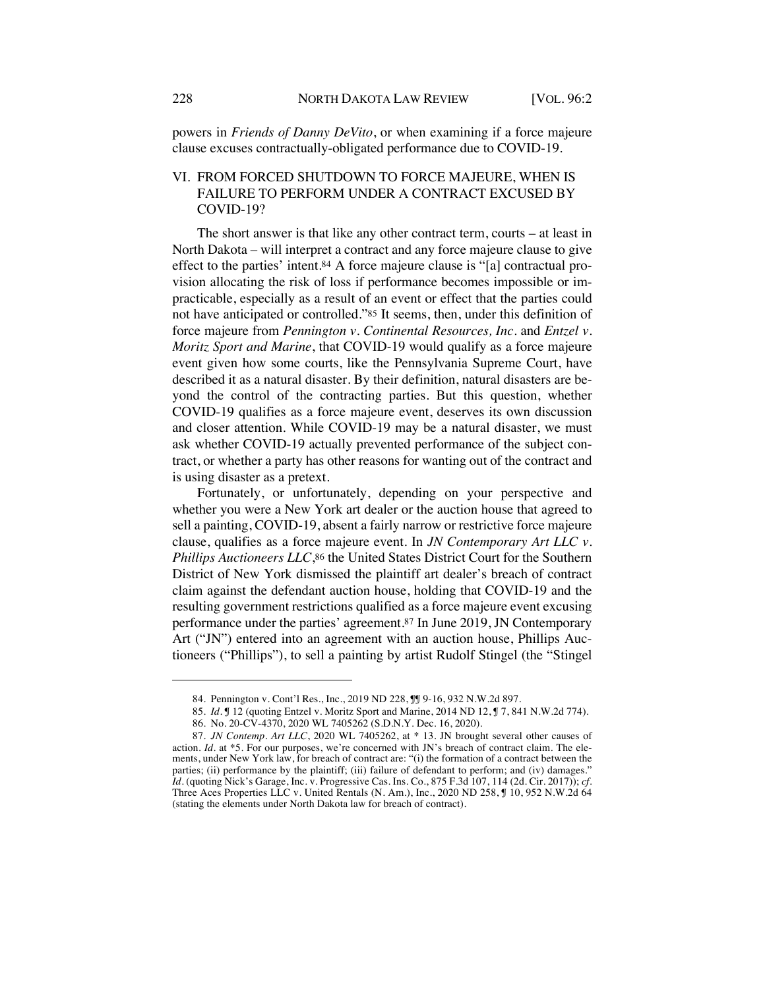powers in *Friends of Danny DeVito*, or when examining if a force majeure clause excuses contractually-obligated performance due to COVID-19.

## VI. FROM FORCED SHUTDOWN TO FORCE MAJEURE, WHEN IS FAILURE TO PERFORM UNDER A CONTRACT EXCUSED BY COVID-19?

The short answer is that like any other contract term, courts – at least in North Dakota – will interpret a contract and any force majeure clause to give effect to the parties' intent.84 A force majeure clause is "[a] contractual provision allocating the risk of loss if performance becomes impossible or impracticable, especially as a result of an event or effect that the parties could not have anticipated or controlled."85 It seems, then, under this definition of force majeure from *Pennington v. Continental Resources, Inc.* and *Entzel v. Moritz Sport and Marine*, that COVID-19 would qualify as a force majeure event given how some courts, like the Pennsylvania Supreme Court, have described it as a natural disaster. By their definition, natural disasters are beyond the control of the contracting parties. But this question, whether COVID-19 qualifies as a force majeure event, deserves its own discussion and closer attention. While COVID-19 may be a natural disaster, we must ask whether COVID-19 actually prevented performance of the subject contract, or whether a party has other reasons for wanting out of the contract and is using disaster as a pretext.

Fortunately, or unfortunately, depending on your perspective and whether you were a New York art dealer or the auction house that agreed to sell a painting, COVID-19, absent a fairly narrow or restrictive force majeure clause, qualifies as a force majeure event. In *JN Contemporary Art LLC v. Phillips Auctioneers LLC*,<sup>86</sup> the United States District Court for the Southern District of New York dismissed the plaintiff art dealer's breach of contract claim against the defendant auction house, holding that COVID-19 and the resulting government restrictions qualified as a force majeure event excusing performance under the parties' agreement.87 In June 2019, JN Contemporary Art ("JN") entered into an agreement with an auction house, Phillips Auctioneers ("Phillips"), to sell a painting by artist Rudolf Stingel (the "Stingel

<sup>84.</sup> Pennington v. Cont'l Res., Inc., 2019 ND 228, II 9-16, 932 N.W.2d 897.

<sup>85</sup>*. Id.* ¶ 12 (quoting Entzel v. Moritz Sport and Marine, 2014 ND 12, ¶ 7, 841 N.W.2d 774).

<sup>86.</sup> No. 20-CV-4370, 2020 WL 7405262 (S.D.N.Y. Dec. 16, 2020).

<sup>87</sup>*. JN Contemp. Art LLC*, 2020 WL 7405262, at \* 13. JN brought several other causes of action. *Id.* at \*5. For our purposes, we're concerned with JN's breach of contract claim. The elements, under New York law, for breach of contract are: "(i) the formation of a contract between the parties; (ii) performance by the plaintiff; (iii) failure of defendant to perform; and (iv) damages." *Id.* (quoting Nick's Garage, Inc. v. Progressive Cas. Ins. Co., 875 F.3d 107, 114 (2d. Cir. 2017)); *cf.* Three Aces Properties LLC v. United Rentals (N. Am.), Inc., 2020 ND 258, ¶ 10, 952 N.W.2d 64 (stating the elements under North Dakota law for breach of contract).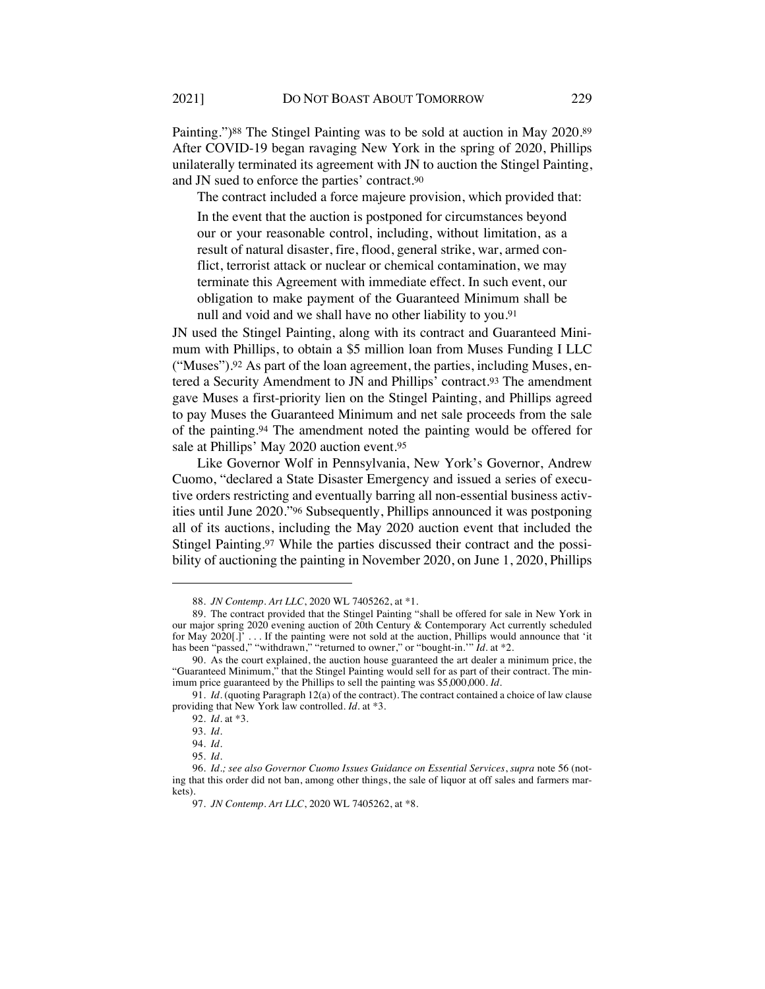Painting.")88 The Stingel Painting was to be sold at auction in May 2020.89 After COVID-19 began ravaging New York in the spring of 2020, Phillips unilaterally terminated its agreement with JN to auction the Stingel Painting, and JN sued to enforce the parties' contract.90

The contract included a force majeure provision, which provided that: In the event that the auction is postponed for circumstances beyond our or your reasonable control, including, without limitation, as a result of natural disaster, fire, flood, general strike, war, armed conflict, terrorist attack or nuclear or chemical contamination, we may terminate this Agreement with immediate effect. In such event, our obligation to make payment of the Guaranteed Minimum shall be null and void and we shall have no other liability to you.91

JN used the Stingel Painting, along with its contract and Guaranteed Minimum with Phillips, to obtain a \$5 million loan from Muses Funding I LLC ("Muses").92 As part of the loan agreement, the parties, including Muses, entered a Security Amendment to JN and Phillips' contract.93 The amendment gave Muses a first-priority lien on the Stingel Painting, and Phillips agreed to pay Muses the Guaranteed Minimum and net sale proceeds from the sale of the painting.94 The amendment noted the painting would be offered for sale at Phillips' May 2020 auction event.95

Like Governor Wolf in Pennsylvania, New York's Governor, Andrew Cuomo, "declared a State Disaster Emergency and issued a series of executive orders restricting and eventually barring all non-essential business activities until June 2020."96 Subsequently, Phillips announced it was postponing all of its auctions, including the May 2020 auction event that included the Stingel Painting.97 While the parties discussed their contract and the possibility of auctioning the painting in November 2020, on June 1, 2020, Phillips

<sup>88</sup>*. JN Contemp. Art LLC*, 2020 WL 7405262, at \*1.

<sup>89.</sup> The contract provided that the Stingel Painting "shall be offered for sale in New York in our major spring 2020 evening auction of 20th Century & Contemporary Act currently scheduled for May 2020[.]' . . . If the painting were not sold at the auction, Phillips would announce that 'it has been "passed," "withdrawn," "returned to owner," or "bought-in.'" *Id.* at \*2.

<sup>90.</sup> As the court explained, the auction house guaranteed the art dealer a minimum price, the "Guaranteed Minimum," that the Stingel Painting would sell for as part of their contract. The minimum price guaranteed by the Phillips to sell the painting was \$5,000,000. *Id.*

<sup>91</sup>*. Id.* (quoting Paragraph 12(a) of the contract). The contract contained a choice of law clause providing that New York law controlled. *Id.* at \*3.

<sup>92</sup>*. Id.* at \*3.

<sup>93</sup>*. Id.*

<sup>94</sup>*. Id.*

<sup>95</sup>*. Id.*

<sup>96</sup>*. Id.; see also Governor Cuomo Issues Guidance on Essential Services*, *supra* note 56 (noting that this order did not ban, among other things, the sale of liquor at off sales and farmers markets).

<sup>97</sup>*. JN Contemp. Art LLC*, 2020 WL 7405262, at \*8.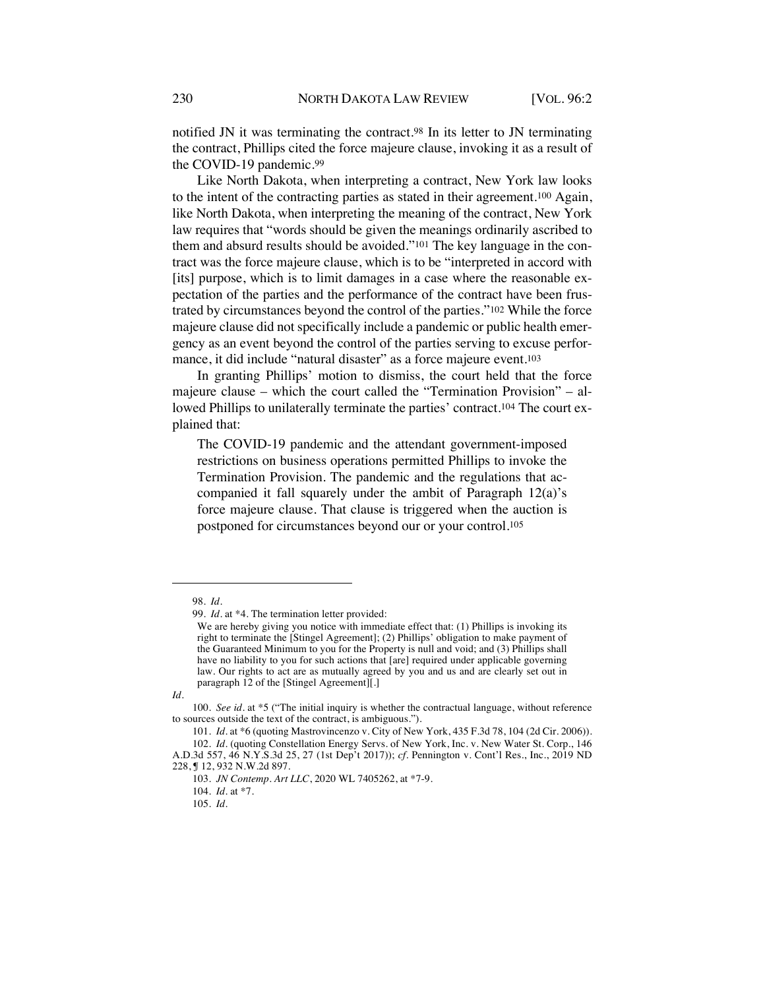notified JN it was terminating the contract.98 In its letter to JN terminating the contract, Phillips cited the force majeure clause, invoking it as a result of the COVID-19 pandemic.99

Like North Dakota, when interpreting a contract, New York law looks to the intent of the contracting parties as stated in their agreement.100 Again, like North Dakota, when interpreting the meaning of the contract, New York law requires that "words should be given the meanings ordinarily ascribed to them and absurd results should be avoided."101 The key language in the contract was the force majeure clause, which is to be "interpreted in accord with [its] purpose, which is to limit damages in a case where the reasonable expectation of the parties and the performance of the contract have been frustrated by circumstances beyond the control of the parties."102 While the force majeure clause did not specifically include a pandemic or public health emergency as an event beyond the control of the parties serving to excuse performance, it did include "natural disaster" as a force majeure event.103

In granting Phillips' motion to dismiss, the court held that the force majeure clause – which the court called the "Termination Provision" – allowed Phillips to unilaterally terminate the parties' contract.104 The court explained that:

The COVID-19 pandemic and the attendant government-imposed restrictions on business operations permitted Phillips to invoke the Termination Provision. The pandemic and the regulations that accompanied it fall squarely under the ambit of Paragraph 12(a)'s force majeure clause. That clause is triggered when the auction is postponed for circumstances beyond our or your control.105

<sup>98</sup>*. Id.*

<sup>99</sup>*. Id.* at \*4. The termination letter provided:

We are hereby giving you notice with immediate effect that: (1) Phillips is invoking its right to terminate the [Stingel Agreement]; (2) Phillips' obligation to make payment of the Guaranteed Minimum to you for the Property is null and void; and (3) Phillips shall have no liability to you for such actions that [are] required under applicable governing law. Our rights to act are as mutually agreed by you and us and are clearly set out in paragraph 12 of the [Stingel Agreement][.]

*Id.*

<sup>100</sup>*. See id.* at \*5 ("The initial inquiry is whether the contractual language, without reference to sources outside the text of the contract, is ambiguous.").

<sup>101</sup>*. Id.* at \*6 (quoting Mastrovincenzo v. City of New York, 435 F.3d 78, 104 (2d Cir. 2006)).

<sup>102</sup>*. Id.* (quoting Constellation Energy Servs. of New York, Inc. v. New Water St. Corp., 146 A.D.3d 557, 46 N.Y.S.3d 25, 27 (1st Dep't 2017)); *cf.* Pennington v. Cont'l Res., Inc., 2019 ND

<sup>228, ¶ 12,</sup> 932 N.W.2d 897.

<sup>103</sup>*. JN Contemp. Art LLC*, 2020 WL 7405262, at \*7-9.

<sup>104</sup>*. Id.* at \*7.

<sup>105</sup>*. Id.*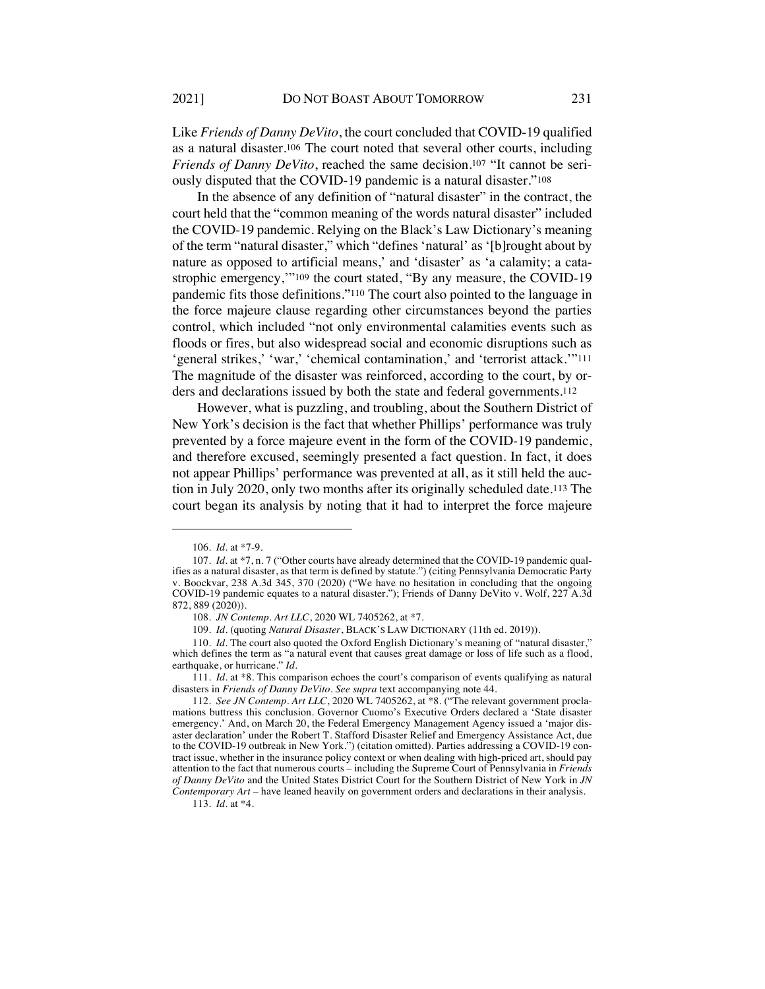Like *Friends of Danny DeVito*, the court concluded that COVID-19 qualified as a natural disaster.106 The court noted that several other courts, including *Friends of Danny DeVito*, reached the same decision.107 "It cannot be seriously disputed that the COVID-19 pandemic is a natural disaster."108

In the absence of any definition of "natural disaster" in the contract, the court held that the "common meaning of the words natural disaster" included the COVID-19 pandemic. Relying on the Black's Law Dictionary's meaning of the term "natural disaster," which "defines 'natural' as '[b]rought about by nature as opposed to artificial means,' and 'disaster' as 'a calamity; a catastrophic emergency,'"109 the court stated, "By any measure, the COVID-19 pandemic fits those definitions."110 The court also pointed to the language in the force majeure clause regarding other circumstances beyond the parties control, which included "not only environmental calamities events such as floods or fires, but also widespread social and economic disruptions such as 'general strikes,' 'war,' 'chemical contamination,' and 'terrorist attack.'"111 The magnitude of the disaster was reinforced, according to the court, by orders and declarations issued by both the state and federal governments.112

However, what is puzzling, and troubling, about the Southern District of New York's decision is the fact that whether Phillips' performance was truly prevented by a force majeure event in the form of the COVID-19 pandemic, and therefore excused, seemingly presented a fact question. In fact, it does not appear Phillips' performance was prevented at all, as it still held the auction in July 2020, only two months after its originally scheduled date.113 The court began its analysis by noting that it had to interpret the force majeure

109*. Id.* (quoting *Natural Disaster*, BLACK'S LAW DICTIONARY (11th ed. 2019)).

113*. Id*. at \*4.

<sup>106</sup>*. Id.* at \*7-9.

<sup>107</sup>*. Id*. at \*7, n. 7 ("Other courts have already determined that the COVID-19 pandemic qualifies as a natural disaster, as that term is defined by statute.") (citing Pennsylvania Democratic Party v. Boockvar, 238 A.3d 345, 370 (2020) ("We have no hesitation in concluding that the ongoing COVID-19 pandemic equates to a natural disaster."); Friends of Danny DeVito v. Wolf, 227 A.3d 872, 889 (2020)).

<sup>108</sup>*. JN Contemp. Art LLC*, 2020 WL 7405262, at \*7.

<sup>110</sup>*. Id*. The court also quoted the Oxford English Dictionary's meaning of "natural disaster," which defines the term as "a natural event that causes great damage or loss of life such as a flood, earthquake, or hurricane." *Id.*

<sup>111</sup>*. Id.* at \*8. This comparison echoes the court's comparison of events qualifying as natural disasters in *Friends of Danny DeVito*. *See supra* text accompanying note 44.

<sup>112</sup>*. See JN Contemp. Art LLC*, 2020 WL 7405262, at \*8. ("The relevant government proclamations buttress this conclusion. Governor Cuomo's Executive Orders declared a 'State disaster emergency.' And, on March 20, the Federal Emergency Management Agency issued a 'major disaster declaration' under the Robert T. Stafford Disaster Relief and Emergency Assistance Act, due to the COVID-19 outbreak in New York.") (citation omitted). Parties addressing a COVID-19 contract issue, whether in the insurance policy context or when dealing with high-priced art, should pay attention to the fact that numerous courts – including the Supreme Court of Pennsylvania in *Friends of Danny DeVito* and the United States District Court for the Southern District of New York in *JN Contemporary Art* – have leaned heavily on government orders and declarations in their analysis.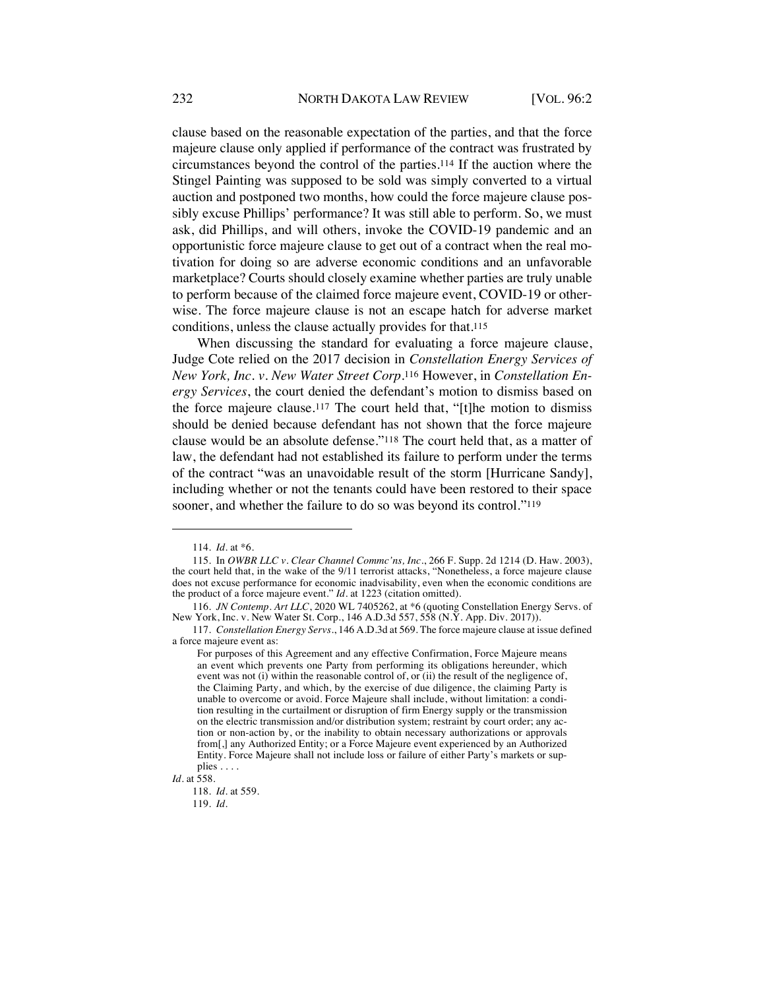clause based on the reasonable expectation of the parties, and that the force majeure clause only applied if performance of the contract was frustrated by circumstances beyond the control of the parties.114 If the auction where the Stingel Painting was supposed to be sold was simply converted to a virtual auction and postponed two months, how could the force majeure clause possibly excuse Phillips' performance? It was still able to perform. So, we must ask, did Phillips, and will others, invoke the COVID-19 pandemic and an opportunistic force majeure clause to get out of a contract when the real motivation for doing so are adverse economic conditions and an unfavorable marketplace? Courts should closely examine whether parties are truly unable to perform because of the claimed force majeure event, COVID-19 or otherwise. The force majeure clause is not an escape hatch for adverse market conditions, unless the clause actually provides for that.115

When discussing the standard for evaluating a force majeure clause, Judge Cote relied on the 2017 decision in *Constellation Energy Services of New York, Inc. v. New Water Street Corp*.116 However, in *Constellation Energy Services*, the court denied the defendant's motion to dismiss based on the force majeure clause.117 The court held that, "[t]he motion to dismiss should be denied because defendant has not shown that the force majeure clause would be an absolute defense."118 The court held that, as a matter of law, the defendant had not established its failure to perform under the terms of the contract "was an unavoidable result of the storm [Hurricane Sandy], including whether or not the tenants could have been restored to their space sooner, and whether the failure to do so was beyond its control."119

*Id.* at 558.

119*. Id.*

<sup>114</sup>*. Id.* at \*6.

<sup>115.</sup> In *OWBR LLC v. Clear Channel Commc'ns, Inc.*, 266 F. Supp. 2d 1214 (D. Haw. 2003), the court held that, in the wake of the 9/11 terrorist attacks, "Nonetheless, a force majeure clause does not excuse performance for economic inadvisability, even when the economic conditions are the product of a force majeure event." *Id.* at 1223 (citation omitted).

<sup>116</sup>*. JN Contemp. Art LLC*, 2020 WL 7405262, at \*6 (quoting Constellation Energy Servs. of New York, Inc. v. New Water St. Corp., 146 A.D.3d 557, 558 (N.Y. App. Div. 2017)).

<sup>117</sup>*. Constellation Energy Servs.*, 146 A.D.3d at 569. The force majeure clause at issue defined a force majeure event as:

For purposes of this Agreement and any effective Confirmation, Force Majeure means an event which prevents one Party from performing its obligations hereunder, which event was not (i) within the reasonable control of, or (ii) the result of the negligence of, the Claiming Party, and which, by the exercise of due diligence, the claiming Party is unable to overcome or avoid. Force Majeure shall include, without limitation: a condition resulting in the curtailment or disruption of firm Energy supply or the transmission on the electric transmission and/or distribution system; restraint by court order; any action or non-action by, or the inability to obtain necessary authorizations or approvals from[,] any Authorized Entity; or a Force Majeure event experienced by an Authorized Entity. Force Majeure shall not include loss or failure of either Party's markets or supplies . . . .

<sup>118</sup>*. Id.* at 559.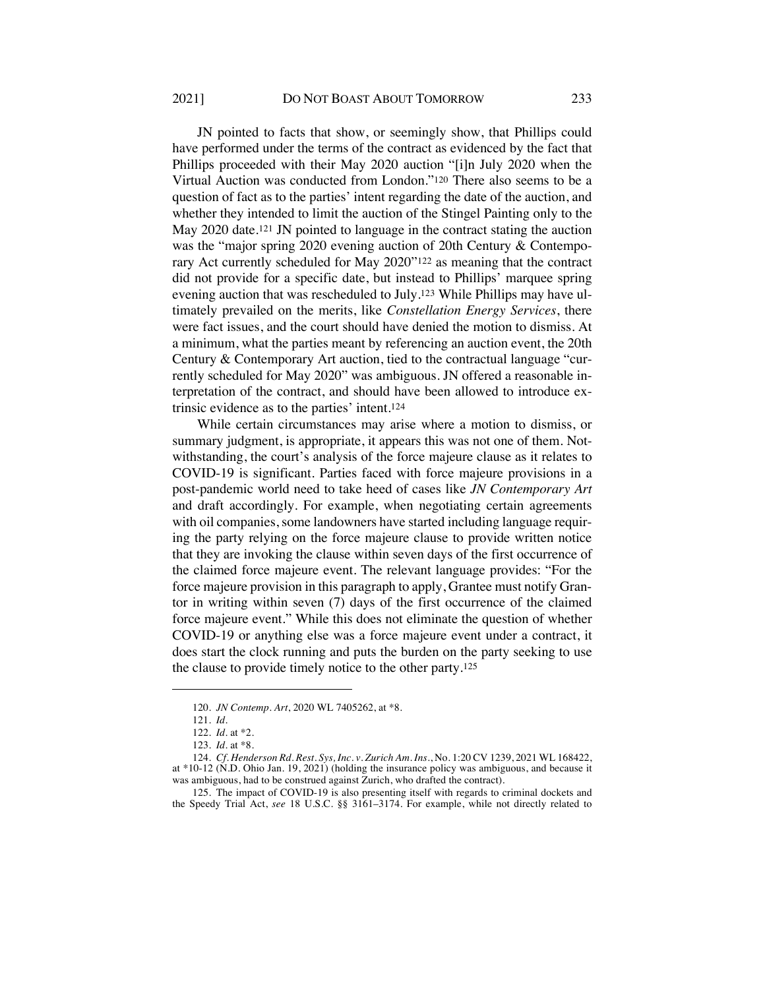JN pointed to facts that show, or seemingly show, that Phillips could have performed under the terms of the contract as evidenced by the fact that Phillips proceeded with their May 2020 auction "[i]n July 2020 when the Virtual Auction was conducted from London."120 There also seems to be a question of fact as to the parties' intent regarding the date of the auction, and whether they intended to limit the auction of the Stingel Painting only to the May 2020 date.121 JN pointed to language in the contract stating the auction was the "major spring 2020 evening auction of 20th Century & Contemporary Act currently scheduled for May 2020"122 as meaning that the contract did not provide for a specific date, but instead to Phillips' marquee spring evening auction that was rescheduled to July.123 While Phillips may have ultimately prevailed on the merits, like *Constellation Energy Services*, there were fact issues, and the court should have denied the motion to dismiss. At a minimum, what the parties meant by referencing an auction event, the 20th Century & Contemporary Art auction, tied to the contractual language "currently scheduled for May 2020" was ambiguous. JN offered a reasonable interpretation of the contract, and should have been allowed to introduce extrinsic evidence as to the parties' intent.124

While certain circumstances may arise where a motion to dismiss, or summary judgment, is appropriate, it appears this was not one of them. Notwithstanding, the court's analysis of the force majeure clause as it relates to COVID-19 is significant. Parties faced with force majeure provisions in a post-pandemic world need to take heed of cases like *JN Contemporary Art*  and draft accordingly. For example, when negotiating certain agreements with oil companies, some landowners have started including language requiring the party relying on the force majeure clause to provide written notice that they are invoking the clause within seven days of the first occurrence of the claimed force majeure event. The relevant language provides: "For the force majeure provision in this paragraph to apply, Grantee must notify Grantor in writing within seven (7) days of the first occurrence of the claimed force majeure event." While this does not eliminate the question of whether COVID-19 or anything else was a force majeure event under a contract, it does start the clock running and puts the burden on the party seeking to use the clause to provide timely notice to the other party.125

<sup>120</sup>*. JN Contemp. Art*, 2020 WL 7405262, at \*8.

<sup>121</sup>*. Id.*

<sup>122</sup>*. Id.* at \*2.

<sup>123</sup>*. Id.* at \*8.

<sup>124</sup>*. Cf. Henderson Rd. Rest. Sys, Inc. v. Zurich Am. Ins.*, No. 1:20 CV 1239, 2021 WL 168422, at \*10-12 (N.D. Ohio Jan. 19, 2021) (holding the insurance policy was ambiguous, and because it was ambiguous, had to be construed against Zurich, who drafted the contract).

<sup>125.</sup> The impact of COVID-19 is also presenting itself with regards to criminal dockets and the Speedy Trial Act, *see* 18 U.S.C. §§ 3161–3174. For example, while not directly related to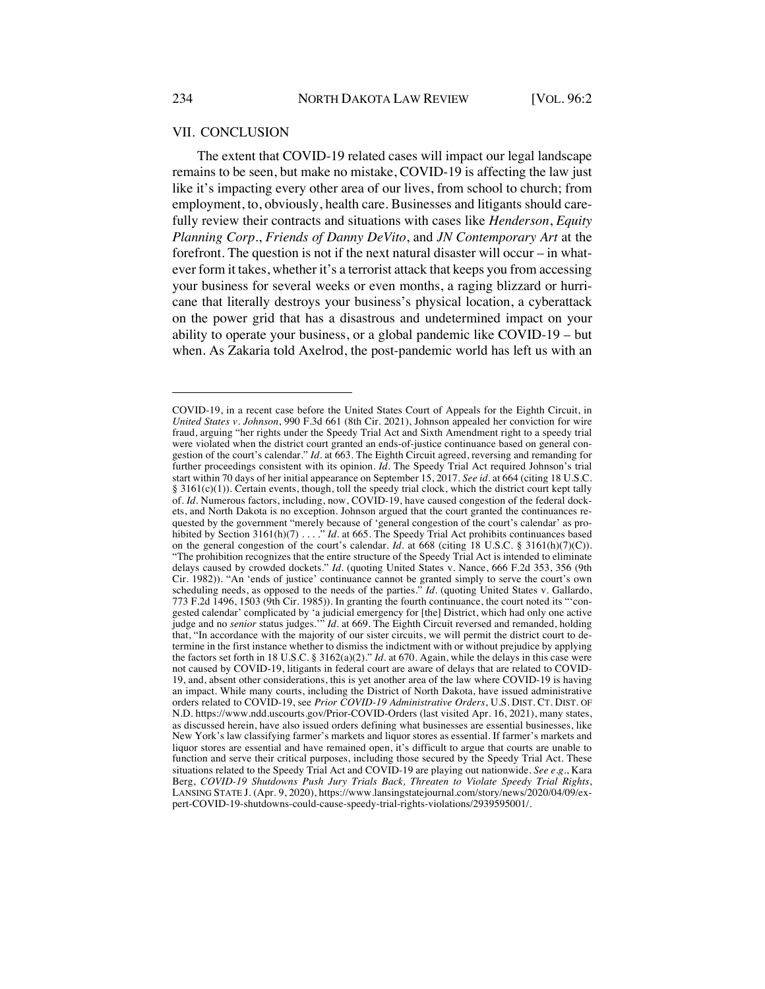#### VII. CONCLUSION

The extent that COVID-19 related cases will impact our legal landscape remains to be seen, but make no mistake, COVID-19 is affecting the law just like it's impacting every other area of our lives, from school to church; from employment, to, obviously, health care. Businesses and litigants should carefully review their contracts and situations with cases like *Henderson*, *Equity Planning Corp.*, *Friends of Danny DeVito*, and *JN Contemporary Art* at the forefront. The question is not if the next natural disaster will occur – in whatever form it takes, whether it's a terrorist attack that keeps you from accessing your business for several weeks or even months, a raging blizzard or hurricane that literally destroys your business's physical location, a cyberattack on the power grid that has a disastrous and undetermined impact on your ability to operate your business, or a global pandemic like COVID-19 – but when. As Zakaria told Axelrod, the post-pandemic world has left us with an

COVID-19, in a recent case before the United States Court of Appeals for the Eighth Circuit, in *United States v. Johnson*, 990 F.3d 661 (8th Cir. 2021), Johnson appealed her conviction for wire fraud, arguing "her rights under the Speedy Trial Act and Sixth Amendment right to a speedy trial were violated when the district court granted an ends-of-justice continuance based on general congestion of the court's calendar." *Id*. at 663. The Eighth Circuit agreed, reversing and remanding for further proceedings consistent with its opinion. *Id.* The Speedy Trial Act required Johnson's trial start within 70 days of her initial appearance on September 15, 2017. *See id*. at 664 (citing 18 U.S.C.  $§$  3161(c)(1)). Certain events, though, toll the speedy trial clock, which the district court kept tally of. *Id*. Numerous factors, including, now, COVID-19, have caused congestion of the federal dockets, and North Dakota is no exception. Johnson argued that the court granted the continuances requested by the government "merely because of 'general congestion of the court's calendar' as prohibited by Section 3161(h)(7) . . . . " *Id.* at 665. The Speedy Trial Act prohibits continuances based on the general congestion of the court's calendar. *Id*. at 668 (citing 18 U.S.C. § 3161(h)(7)(C)). "The prohibition recognizes that the entire structure of the Speedy Trial Act is intended to eliminate delays caused by crowded dockets." *Id.* (quoting United States v. Nance, 666 F.2d 353, 356 (9th Cir. 1982)). "An 'ends of justice' continuance cannot be granted simply to serve the court's own scheduling needs, as opposed to the needs of the parties." *Id.* (quoting United States v. Gallardo, 773 F.2d 1496, 1503 (9th Cir. 1985)). In granting the fourth continuance, the court noted its "'congested calendar' complicated by 'a judicial emergency for [the] District, which had only one active judge and no *senior* status judges.'" *Id*. at 669. The Eighth Circuit reversed and remanded, holding that, "In accordance with the majority of our sister circuits, we will permit the district court to determine in the first instance whether to dismiss the indictment with or without prejudice by applying the factors set forth in 18 U.S.C. § 3162(a)(2)." *Id*. at 670. Again, while the delays in this case were not caused by COVID-19, litigants in federal court are aware of delays that are related to COVID-19, and, absent other considerations, this is yet another area of the law where COVID-19 is having an impact. While many courts, including the District of North Dakota, have issued administrative orders related to COVID-19, see *Prior COVID-19 Administrative Orders*, U.S. DIST. CT. DIST. OF N.D. https://www.ndd.uscourts.gov/Prior-COVID-Orders (last visited Apr. 16, 2021), many states, as discussed herein, have also issued orders defining what businesses are essential businesses, like New York's law classifying farmer's markets and liquor stores as essential. If farmer's markets and liquor stores are essential and have remained open, it's difficult to argue that courts are unable to function and serve their critical purposes, including those secured by the Speedy Trial Act. These situations related to the Speedy Trial Act and COVID-19 are playing out nationwide. *See e.g.*, Kara Berg, *COVID-19 Shutdowns Push Jury Trials Back, Threaten to Violate Speedy Trial Rights*, LANSING STATE J. (Apr. 9, 2020), https://www.lansingstatejournal.com/story/news/2020/04/09/expert-COVID-19-shutdowns-could-cause-speedy-trial-rights-violations/2939595001/.